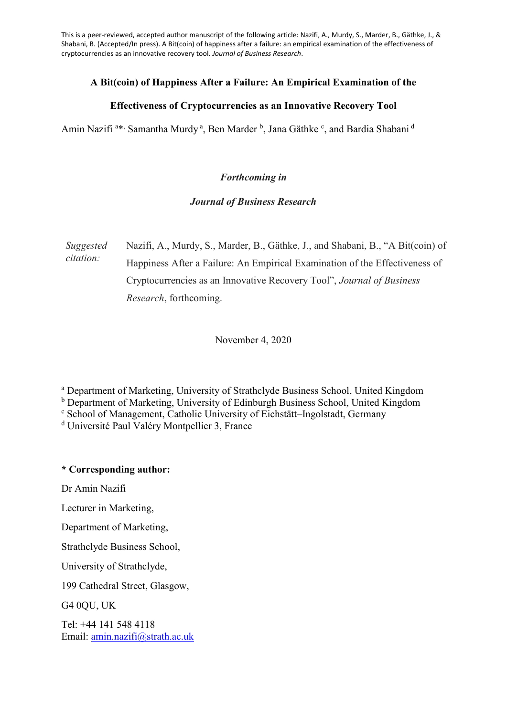This is a peer-reviewed, accepted author manuscript of the following article: Nazifi, A., Murdy, S., Marder, B., Gäthke, J., & Shabani, B. (Accepted/In press). A Bit(coin) of happiness after a failure: an empirical examination of the effectiveness of cryptocurrencies as an innovative recovery tool. *Journal of Business Research*.

# **A Bit(coin) of Happiness After a Failure: An Empirical Examination of the**

# **Effectiveness of Cryptocurrencies as an Innovative Recovery Tool**

Amin Nazifi<sup>a\*,</sup> Samantha Murdy<sup>a</sup>, Ben Marder<sup>b</sup>, Jana Gäthke<sup>c</sup>, and Bardia Shabani<sup>d</sup>

# *Forthcoming in*

# *Journal of Business Research*

*Suggested citation:* Nazifi, A., Murdy, S., Marder, B., Gäthke, J., and Shabani, B., "A Bit(coin) of Happiness After a Failure: An Empirical Examination of the Effectiveness of Cryptocurrencies as an Innovative Recovery Tool", *Journal of Business Research*, forthcoming.

November 4, 2020

<sup>a</sup> Department of Marketing, University of Strathclyde Business School, United Kingdom

<sup>b</sup> Department of Marketing, University of Edinburgh Business School, United Kingdom

<sup>c</sup> School of Management, Catholic University of Eichstätt–Ingolstadt, Germany

<sup>d</sup> Université Paul Valéry Montpellier 3, France

# **\* Corresponding author:**

Dr Amin Nazifi

Lecturer in Marketing,

Department of Marketing,

Strathclyde Business School,

University of Strathclyde,

199 Cathedral Street, Glasgow,

G4 0QU, UK

Tel: +44 141 548 4118 Email: [amin.nazifi@strath.ac.uk](mailto:amin.nazifi@strath.ac.uk)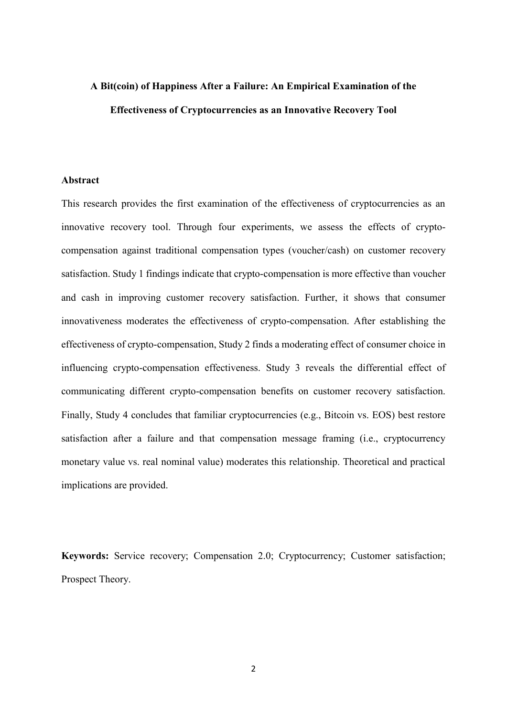# **A Bit(coin) of Happiness After a Failure: An Empirical Examination of the Effectiveness of Cryptocurrencies as an Innovative Recovery Tool**

## **Abstract**

This research provides the first examination of the effectiveness of cryptocurrencies as an innovative recovery tool. Through four experiments, we assess the effects of cryptocompensation against traditional compensation types (voucher/cash) on customer recovery satisfaction. Study 1 findings indicate that crypto-compensation is more effective than voucher and cash in improving customer recovery satisfaction. Further, it shows that consumer innovativeness moderates the effectiveness of crypto-compensation. After establishing the effectiveness of crypto-compensation, Study 2 finds a moderating effect of consumer choice in influencing crypto-compensation effectiveness. Study 3 reveals the differential effect of communicating different crypto-compensation benefits on customer recovery satisfaction. Finally, Study 4 concludes that familiar cryptocurrencies (e.g., Bitcoin vs. EOS) best restore satisfaction after a failure and that compensation message framing (i.e., cryptocurrency monetary value vs. real nominal value) moderates this relationship. Theoretical and practical implications are provided.

**Keywords:** Service recovery; Compensation 2.0; Cryptocurrency; Customer satisfaction; Prospect Theory.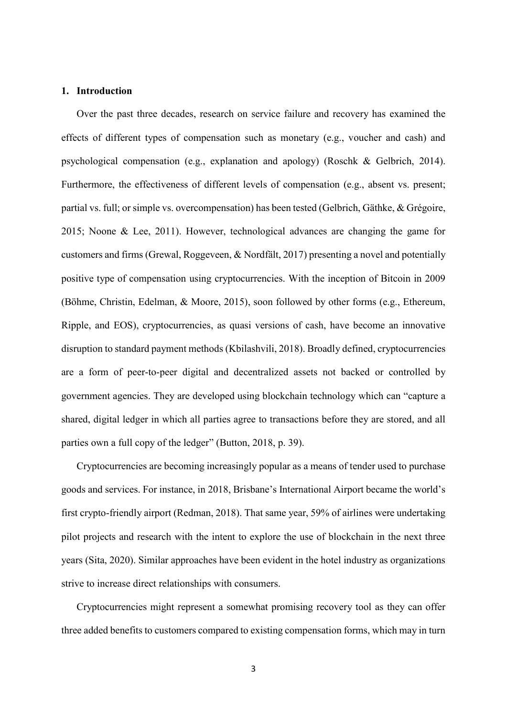#### **1. Introduction**

Over the past three decades, research on service failure and recovery has examined the effects of different types of compensation such as monetary (e.g., voucher and cash) and psychological compensation (e.g., explanation and apology) (Roschk & Gelbrich, 2014). Furthermore, the effectiveness of different levels of compensation (e.g., absent vs. present; partial vs. full; or simple vs. overcompensation) has been tested (Gelbrich, Gäthke, & Grégoire, 2015; Noone & Lee, 2011). However, technological advances are changing the game for customers and firms (Grewal, Roggeveen, & Nordfält, 2017) presenting a novel and potentially positive type of compensation using cryptocurrencies. With the inception of Bitcoin in 2009 (Böhme, Christin, Edelman, & Moore, 2015), soon followed by other forms (e.g., Ethereum, Ripple, and EOS), cryptocurrencies, as quasi versions of cash, have become an innovative disruption to standard payment methods (Kbilashvili, 2018). Broadly defined, cryptocurrencies are a form of peer-to-peer digital and decentralized assets not backed or controlled by government agencies. They are developed using blockchain technology which can "capture a shared, digital ledger in which all parties agree to transactions before they are stored, and all parties own a full copy of the ledger" (Button, 2018, p. 39).

Cryptocurrencies are becoming increasingly popular as a means of tender used to purchase goods and services. For instance, in 2018, Brisbane's International Airport became the world's first crypto-friendly airport (Redman, 2018). That same year, 59% of airlines were undertaking pilot projects and research with the intent to explore the use of blockchain in the next three years (Sita, 2020). Similar approaches have been evident in the hotel industry as organizations strive to increase direct relationships with consumers.

Cryptocurrencies might represent a somewhat promising recovery tool as they can offer three added benefits to customers compared to existing compensation forms, which may in turn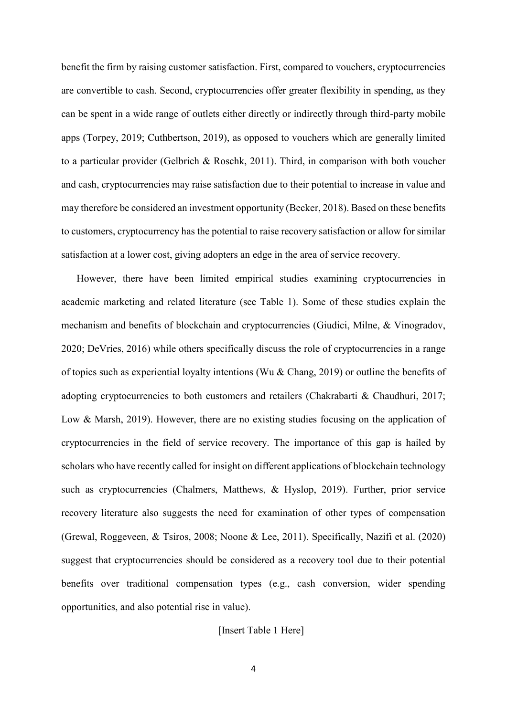benefit the firm by raising customer satisfaction. First, compared to vouchers, cryptocurrencies are convertible to cash. Second, cryptocurrencies offer greater flexibility in spending, as they can be spent in a wide range of outlets either directly or indirectly through third-party mobile apps (Torpey, 2019; Cuthbertson, 2019), as opposed to vouchers which are generally limited to a particular provider (Gelbrich & Roschk, 2011). Third, in comparison with both voucher and cash, cryptocurrencies may raise satisfaction due to their potential to increase in value and may therefore be considered an investment opportunity (Becker, 2018). Based on these benefits to customers, cryptocurrency has the potential to raise recovery satisfaction or allow for similar satisfaction at a lower cost, giving adopters an edge in the area of service recovery.

However, there have been limited empirical studies examining cryptocurrencies in academic marketing and related literature (see Table 1). Some of these studies explain the mechanism and benefits of blockchain and cryptocurrencies (Giudici, Milne, & Vinogradov, 2020; DeVries, 2016) while others specifically discuss the role of cryptocurrencies in a range of topics such as experiential loyalty intentions (Wu & Chang, 2019) or outline the benefits of adopting cryptocurrencies to both customers and retailers (Chakrabarti & Chaudhuri, 2017; Low & Marsh, 2019). However, there are no existing studies focusing on the application of cryptocurrencies in the field of service recovery. The importance of this gap is hailed by scholars who have recently called for insight on different applications of blockchain technology such as cryptocurrencies (Chalmers, Matthews, & Hyslop, 2019). Further, prior service recovery literature also suggests the need for examination of other types of compensation (Grewal, Roggeveen, & Tsiros, 2008; Noone & Lee, 2011). Specifically, Nazifi et al. (2020) suggest that cryptocurrencies should be considered as a recovery tool due to their potential benefits over traditional compensation types (e.g., cash conversion, wider spending opportunities, and also potential rise in value).

## [Insert Table 1 Here]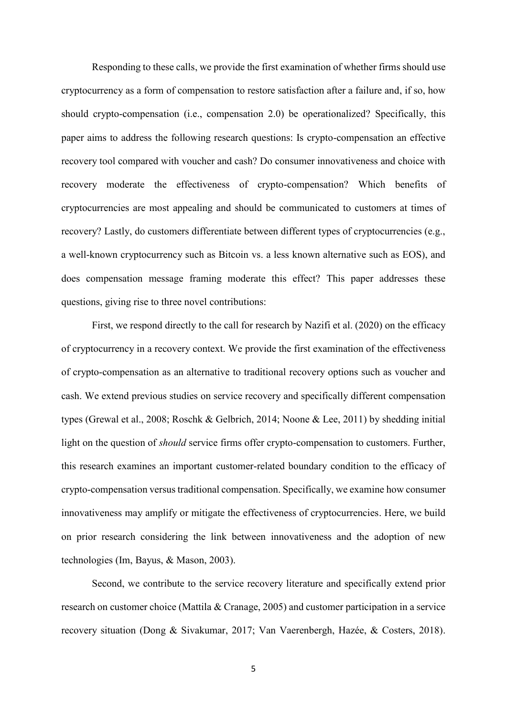Responding to these calls, we provide the first examination of whether firms should use cryptocurrency as a form of compensation to restore satisfaction after a failure and, if so, how should crypto-compensation (i.e., compensation 2.0) be operationalized? Specifically, this paper aims to address the following research questions: Is crypto-compensation an effective recovery tool compared with voucher and cash? Do consumer innovativeness and choice with recovery moderate the effectiveness of crypto-compensation? Which benefits of cryptocurrencies are most appealing and should be communicated to customers at times of recovery? Lastly, do customers differentiate between different types of cryptocurrencies (e.g., a well-known cryptocurrency such as Bitcoin vs. a less known alternative such as EOS), and does compensation message framing moderate this effect? This paper addresses these questions, giving rise to three novel contributions:

First, we respond directly to the call for research by Nazifi et al. (2020) on the efficacy of cryptocurrency in a recovery context. We provide the first examination of the effectiveness of crypto-compensation as an alternative to traditional recovery options such as voucher and cash. We extend previous studies on service recovery and specifically different compensation types (Grewal et al., 2008; Roschk & Gelbrich, 2014; Noone & Lee, 2011) by shedding initial light on the question of *should* service firms offer crypto-compensation to customers. Further, this research examines an important customer-related boundary condition to the efficacy of crypto-compensation versus traditional compensation. Specifically, we examine how consumer innovativeness may amplify or mitigate the effectiveness of cryptocurrencies. Here, we build on prior research considering the link between innovativeness and the adoption of new technologies (Im, Bayus, & Mason, 2003).

Second, we contribute to the service recovery literature and specifically extend prior research on customer choice (Mattila & Cranage, 2005) and customer participation in a service recovery situation (Dong & Sivakumar, 2017; Van Vaerenbergh, Hazée, & Costers, 2018).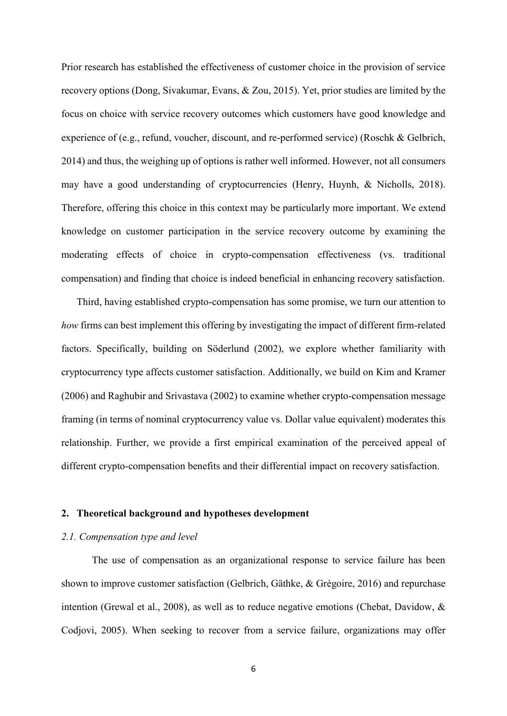Prior research has established the effectiveness of customer choice in the provision of service recovery options (Dong, Sivakumar, Evans, & Zou, 2015). Yet, prior studies are limited by the focus on choice with service recovery outcomes which customers have good knowledge and experience of (e.g., refund, voucher, discount, and re-performed service) (Roschk & Gelbrich, 2014) and thus, the weighing up of options is rather well informed. However, not all consumers may have a good understanding of cryptocurrencies (Henry, Huynh, & Nicholls, 2018). Therefore, offering this choice in this context may be particularly more important. We extend knowledge on customer participation in the service recovery outcome by examining the moderating effects of choice in crypto-compensation effectiveness (vs. traditional compensation) and finding that choice is indeed beneficial in enhancing recovery satisfaction.

Third, having established crypto-compensation has some promise, we turn our attention to *how* firms can best implement this offering by investigating the impact of different firm-related factors. Specifically, building on Söderlund (2002), we explore whether familiarity with cryptocurrency type affects customer satisfaction. Additionally, we build on Kim and Kramer (2006) and Raghubir and Srivastava (2002) to examine whether crypto-compensation message framing (in terms of nominal cryptocurrency value vs. Dollar value equivalent) moderates this relationship. Further, we provide a first empirical examination of the perceived appeal of different crypto-compensation benefits and their differential impact on recovery satisfaction.

### **2. Theoretical background and hypotheses development**

## *2.1. Compensation type and level*

The use of compensation as an organizational response to service failure has been shown to improve customer satisfaction (Gelbrich, Gäthke, & Grégoire, 2016) and repurchase intention (Grewal et al., 2008), as well as to reduce negative emotions (Chebat, Davidow, & Codjovi, 2005). When seeking to recover from a service failure, organizations may offer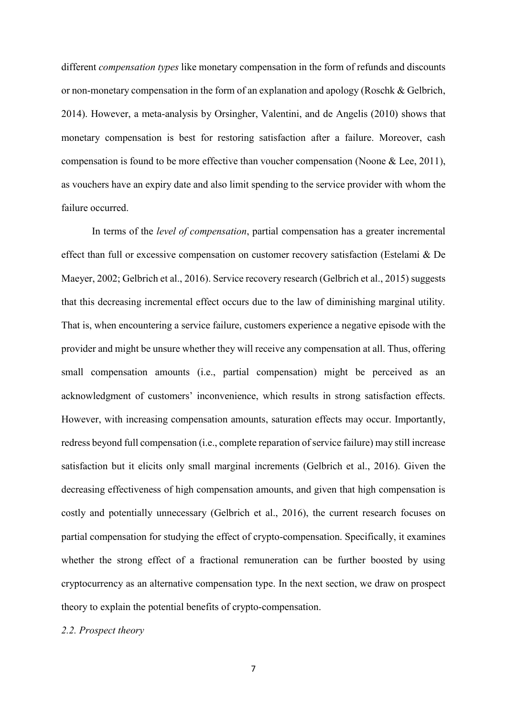different *compensation types* like monetary compensation in the form of refunds and discounts or non-monetary compensation in the form of an explanation and apology (Roschk & Gelbrich, 2014). However, a meta-analysis by Orsingher, Valentini, and de Angelis (2010) shows that monetary compensation is best for restoring satisfaction after a failure. Moreover, cash compensation is found to be more effective than voucher compensation (Noone & Lee, 2011), as vouchers have an expiry date and also limit spending to the service provider with whom the failure occurred.

In terms of the *level of compensation*, partial compensation has a greater incremental effect than full or excessive compensation on customer recovery satisfaction (Estelami & De Maeyer, 2002; Gelbrich et al., 2016). Service recovery research (Gelbrich et al., 2015) suggests that this decreasing incremental effect occurs due to the law of diminishing marginal utility. That is, when encountering a service failure, customers experience a negative episode with the provider and might be unsure whether they will receive any compensation at all. Thus, offering small compensation amounts (i.e., partial compensation) might be perceived as an acknowledgment of customers' inconvenience, which results in strong satisfaction effects. However, with increasing compensation amounts, saturation effects may occur. Importantly, redress beyond full compensation (i.e., complete reparation of service failure) may still increase satisfaction but it elicits only small marginal increments (Gelbrich et al., 2016). Given the decreasing effectiveness of high compensation amounts, and given that high compensation is costly and potentially unnecessary (Gelbrich et al., 2016), the current research focuses on partial compensation for studying the effect of crypto-compensation. Specifically, it examines whether the strong effect of a fractional remuneration can be further boosted by using cryptocurrency as an alternative compensation type. In the next section, we draw on prospect theory to explain the potential benefits of crypto-compensation.

## *2.2. Prospect theory*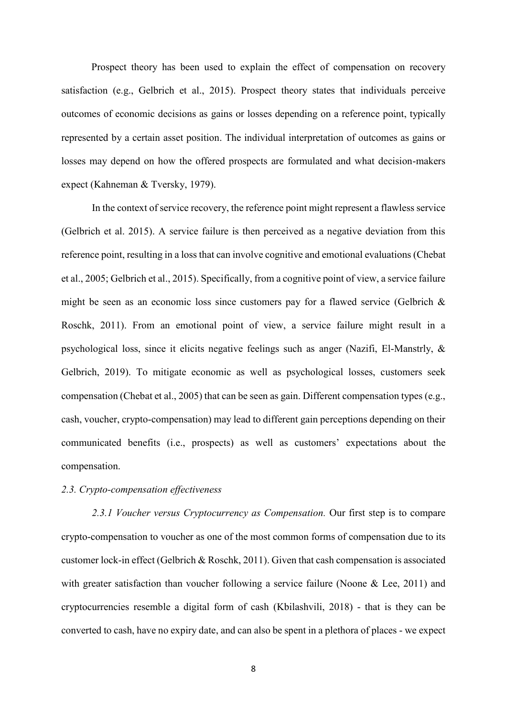Prospect theory has been used to explain the effect of compensation on recovery satisfaction (e.g., Gelbrich et al., 2015). Prospect theory states that individuals perceive outcomes of economic decisions as gains or losses depending on a reference point, typically represented by a certain asset position. The individual interpretation of outcomes as gains or losses may depend on how the offered prospects are formulated and what decision-makers expect (Kahneman & Tversky, 1979).

In the context of service recovery, the reference point might represent a flawless service (Gelbrich et al. 2015). A service failure is then perceived as a negative deviation from this reference point, resulting in a loss that can involve cognitive and emotional evaluations (Chebat et al., 2005; Gelbrich et al., 2015). Specifically, from a cognitive point of view, a service failure might be seen as an economic loss since customers pay for a flawed service (Gelbrich & Roschk, 2011). From an emotional point of view, a service failure might result in a psychological loss, since it elicits negative feelings such as anger (Nazifi, El-Manstrly, & Gelbrich, 2019). To mitigate economic as well as psychological losses, customers seek compensation (Chebat et al., 2005) that can be seen as gain. Different compensation types (e.g., cash, voucher, crypto-compensation) may lead to different gain perceptions depending on their communicated benefits (i.e., prospects) as well as customers' expectations about the compensation.

# *2.3. Crypto-compensation effectiveness*

*2.3.1 Voucher versus Cryptocurrency as Compensation.* Our first step is to compare crypto-compensation to voucher as one of the most common forms of compensation due to its customer lock-in effect (Gelbrich & Roschk, 2011). Given that cash compensation is associated with greater satisfaction than voucher following a service failure (Noone & Lee, 2011) and cryptocurrencies resemble a digital form of cash (Kbilashvili, 2018) - that is they can be converted to cash, have no expiry date, and can also be spent in a plethora of places - we expect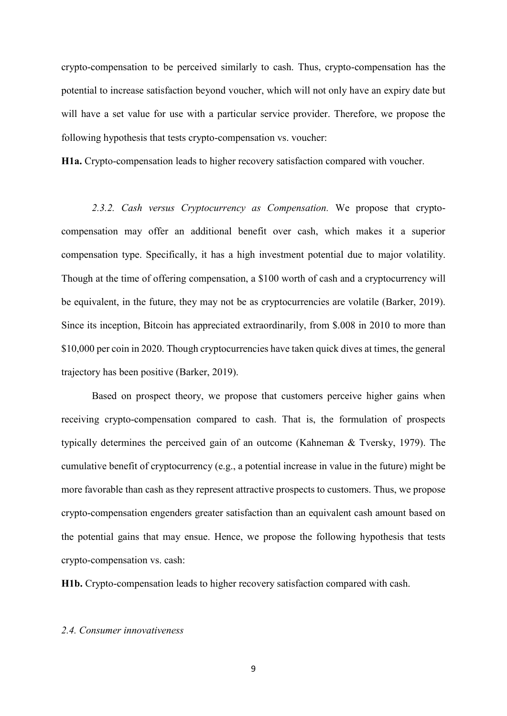crypto-compensation to be perceived similarly to cash. Thus, crypto-compensation has the potential to increase satisfaction beyond voucher, which will not only have an expiry date but will have a set value for use with a particular service provider. Therefore, we propose the following hypothesis that tests crypto-compensation vs. voucher:

**H1a.** Crypto-compensation leads to higher recovery satisfaction compared with voucher.

*2.3.2. Cash versus Cryptocurrency as Compensation.* We propose that cryptocompensation may offer an additional benefit over cash, which makes it a superior compensation type. Specifically, it has a high investment potential due to major volatility. Though at the time of offering compensation, a \$100 worth of cash and a cryptocurrency will be equivalent, in the future, they may not be as cryptocurrencies are volatile (Barker, 2019). Since its inception, Bitcoin has appreciated extraordinarily, from \$.008 in 2010 to more than \$10,000 per coin in 2020. Though cryptocurrencies have taken quick dives at times, the general trajectory has been positive (Barker, 2019).

Based on prospect theory, we propose that customers perceive higher gains when receiving crypto-compensation compared to cash. That is, the formulation of prospects typically determines the perceived gain of an outcome (Kahneman & Tversky, 1979). The cumulative benefit of cryptocurrency (e.g., a potential increase in value in the future) might be more favorable than cash as they represent attractive prospects to customers. Thus, we propose crypto-compensation engenders greater satisfaction than an equivalent cash amount based on the potential gains that may ensue. Hence, we propose the following hypothesis that tests crypto-compensation vs. cash:

**H1b.** Crypto-compensation leads to higher recovery satisfaction compared with cash.

#### *2.4. Consumer innovativeness*

9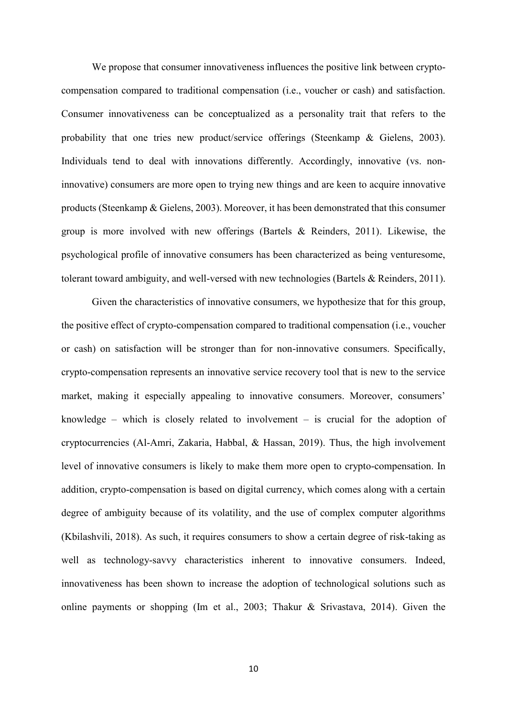We propose that consumer innovativeness influences the positive link between cryptocompensation compared to traditional compensation (i.e., voucher or cash) and satisfaction. Consumer innovativeness can be conceptualized as a personality trait that refers to the probability that one tries new product/service offerings (Steenkamp & Gielens, 2003). Individuals tend to deal with innovations differently. Accordingly, innovative (vs. noninnovative) consumers are more open to trying new things and are keen to acquire innovative products (Steenkamp & Gielens, 2003). Moreover, it has been demonstrated that this consumer group is more involved with new offerings (Bartels & Reinders, 2011). Likewise, the psychological profile of innovative consumers has been characterized as being venturesome, tolerant toward ambiguity, and well-versed with new technologies (Bartels & Reinders, 2011).

Given the characteristics of innovative consumers, we hypothesize that for this group, the positive effect of crypto-compensation compared to traditional compensation (i.e., voucher or cash) on satisfaction will be stronger than for non-innovative consumers. Specifically, crypto-compensation represents an innovative service recovery tool that is new to the service market, making it especially appealing to innovative consumers. Moreover, consumers' knowledge – which is closely related to involvement – is crucial for the adoption of cryptocurrencies (Al-Amri, Zakaria, Habbal, & Hassan, 2019). Thus, the high involvement level of innovative consumers is likely to make them more open to crypto-compensation. In addition, crypto-compensation is based on digital currency, which comes along with a certain degree of ambiguity because of its volatility, and the use of complex computer algorithms (Kbilashvili, 2018). As such, it requires consumers to show a certain degree of risk-taking as well as technology-savvy characteristics inherent to innovative consumers. Indeed, innovativeness has been shown to increase the adoption of technological solutions such as online payments or shopping (Im et al., 2003; Thakur & Srivastava, 2014). Given the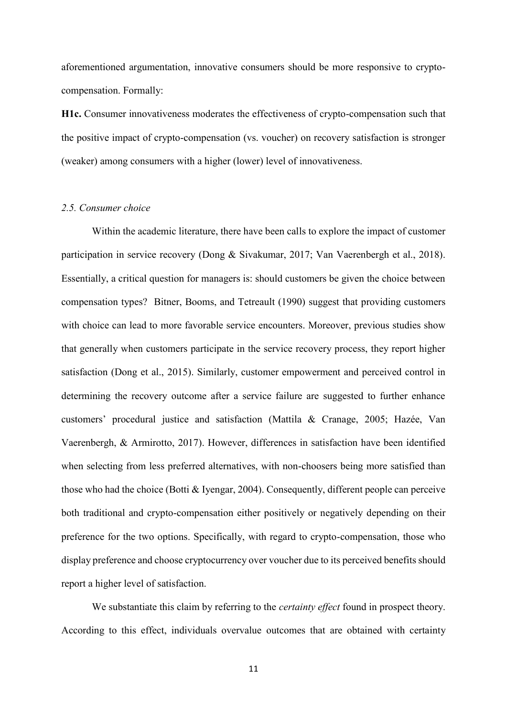aforementioned argumentation, innovative consumers should be more responsive to cryptocompensation. Formally:

**H1c.** Consumer innovativeness moderates the effectiveness of crypto-compensation such that the positive impact of crypto-compensation (vs. voucher) on recovery satisfaction is stronger (weaker) among consumers with a higher (lower) level of innovativeness.

#### *2.5. Consumer choice*

Within the academic literature, there have been calls to explore the impact of customer participation in service recovery (Dong & Sivakumar, 2017; Van Vaerenbergh et al., 2018). Essentially, a critical question for managers is: should customers be given the choice between compensation types? Bitner, Booms, and Tetreault (1990) suggest that providing customers with choice can lead to more favorable service encounters. Moreover, previous studies show that generally when customers participate in the service recovery process, they report higher satisfaction (Dong et al., 2015). Similarly, customer empowerment and perceived control in determining the recovery outcome after a service failure are suggested to further enhance customers' procedural justice and satisfaction (Mattila & Cranage, 2005; Hazée, Van Vaerenbergh, & Armirotto, 2017). However, differences in satisfaction have been identified when selecting from less preferred alternatives, with non-choosers being more satisfied than those who had the choice (Botti & Iyengar, 2004). Consequently, different people can perceive both traditional and crypto-compensation either positively or negatively depending on their preference for the two options. Specifically, with regard to crypto-compensation, those who display preference and choose cryptocurrency over voucher due to its perceived benefits should report a higher level of satisfaction.

We substantiate this claim by referring to the *certainty effect* found in prospect theory. According to this effect, individuals overvalue outcomes that are obtained with certainty

11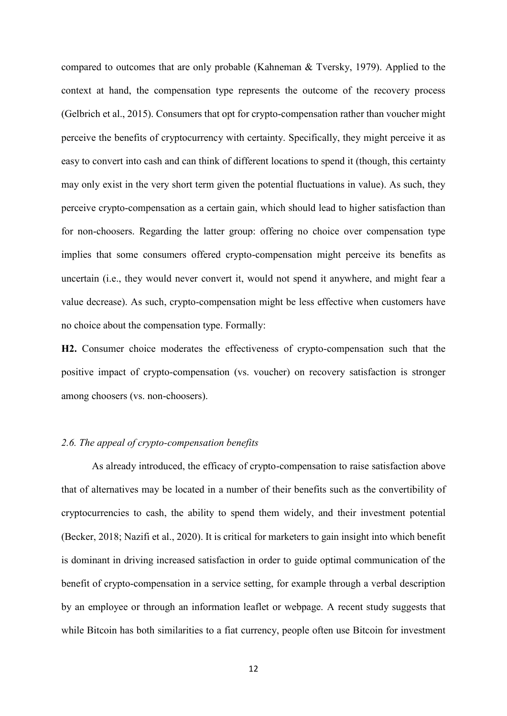compared to outcomes that are only probable (Kahneman & Tversky, 1979). Applied to the context at hand, the compensation type represents the outcome of the recovery process (Gelbrich et al., 2015). Consumers that opt for crypto-compensation rather than voucher might perceive the benefits of cryptocurrency with certainty. Specifically, they might perceive it as easy to convert into cash and can think of different locations to spend it (though, this certainty may only exist in the very short term given the potential fluctuations in value). As such, they perceive crypto-compensation as a certain gain, which should lead to higher satisfaction than for non-choosers. Regarding the latter group: offering no choice over compensation type implies that some consumers offered crypto-compensation might perceive its benefits as uncertain (i.e., they would never convert it, would not spend it anywhere, and might fear a value decrease). As such, crypto-compensation might be less effective when customers have no choice about the compensation type. Formally:

**H2.** Consumer choice moderates the effectiveness of crypto-compensation such that the positive impact of crypto-compensation (vs. voucher) on recovery satisfaction is stronger among choosers (vs. non-choosers).

# *2.6. The appeal of crypto-compensation benefits*

As already introduced, the efficacy of crypto-compensation to raise satisfaction above that of alternatives may be located in a number of their benefits such as the convertibility of cryptocurrencies to cash, the ability to spend them widely, and their investment potential (Becker, 2018; Nazifi et al., 2020). It is critical for marketers to gain insight into which benefit is dominant in driving increased satisfaction in order to guide optimal communication of the benefit of crypto-compensation in a service setting, for example through a verbal description by an employee or through an information leaflet or webpage. A recent study suggests that while Bitcoin has both similarities to a fiat currency, people often use Bitcoin for investment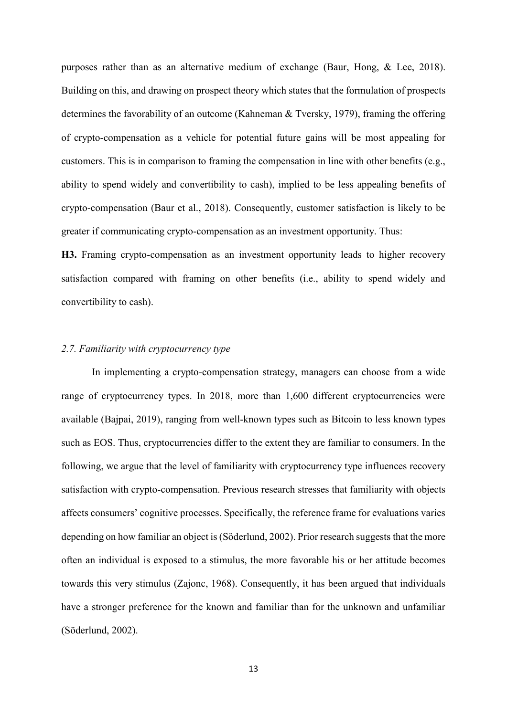purposes rather than as an alternative medium of exchange (Baur, Hong, & Lee, 2018). Building on this, and drawing on prospect theory which states that the formulation of prospects determines the favorability of an outcome (Kahneman & Tversky, 1979), framing the offering of crypto-compensation as a vehicle for potential future gains will be most appealing for customers. This is in comparison to framing the compensation in line with other benefits (e.g., ability to spend widely and convertibility to cash), implied to be less appealing benefits of crypto-compensation (Baur et al., 2018). Consequently, customer satisfaction is likely to be greater if communicating crypto-compensation as an investment opportunity. Thus:

**H3.** Framing crypto-compensation as an investment opportunity leads to higher recovery satisfaction compared with framing on other benefits (i.e., ability to spend widely and convertibility to cash).

# *2.7. Familiarity with cryptocurrency type*

In implementing a crypto-compensation strategy, managers can choose from a wide range of cryptocurrency types. In 2018, more than 1,600 different cryptocurrencies were available (Bajpai, 2019), ranging from well-known types such as Bitcoin to less known types such as EOS. Thus, cryptocurrencies differ to the extent they are familiar to consumers. In the following, we argue that the level of familiarity with cryptocurrency type influences recovery satisfaction with crypto-compensation. Previous research stresses that familiarity with objects affects consumers' cognitive processes. Specifically, the reference frame for evaluations varies depending on how familiar an object is (Söderlund, 2002). Prior research suggests that the more often an individual is exposed to a stimulus, the more favorable his or her attitude becomes towards this very stimulus (Zajonc, 1968). Consequently, it has been argued that individuals have a stronger preference for the known and familiar than for the unknown and unfamiliar (Söderlund, 2002).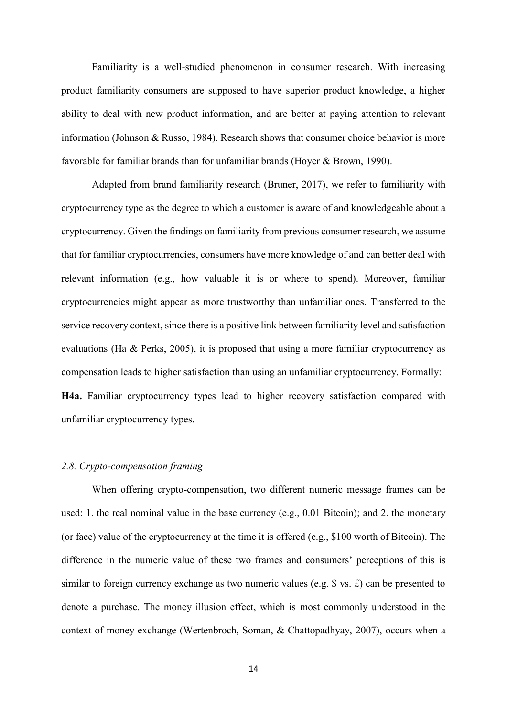Familiarity is a well-studied phenomenon in consumer research. With increasing product familiarity consumers are supposed to have superior product knowledge, a higher ability to deal with new product information, and are better at paying attention to relevant information (Johnson & Russo, 1984). Research shows that consumer choice behavior is more favorable for familiar brands than for unfamiliar brands (Hoyer & Brown, 1990).

Adapted from brand familiarity research (Bruner, 2017), we refer to familiarity with cryptocurrency type as the degree to which a customer is aware of and knowledgeable about a cryptocurrency. Given the findings on familiarity from previous consumer research, we assume that for familiar cryptocurrencies, consumers have more knowledge of and can better deal with relevant information (e.g., how valuable it is or where to spend). Moreover, familiar cryptocurrencies might appear as more trustworthy than unfamiliar ones. Transferred to the service recovery context, since there is a positive link between familiarity level and satisfaction evaluations (Ha & Perks, 2005), it is proposed that using a more familiar cryptocurrency as compensation leads to higher satisfaction than using an unfamiliar cryptocurrency. Formally: **H4a.** Familiar cryptocurrency types lead to higher recovery satisfaction compared with unfamiliar cryptocurrency types.

# *2.8. Crypto-compensation framing*

When offering crypto-compensation, two different numeric message frames can be used: 1. the real nominal value in the base currency (e.g., 0.01 Bitcoin); and 2. the monetary (or face) value of the cryptocurrency at the time it is offered (e.g., \$100 worth of Bitcoin). The difference in the numeric value of these two frames and consumers' perceptions of this is similar to foreign currency exchange as two numeric values (e.g. \$ vs. £) can be presented to denote a purchase. The money illusion effect, which is most commonly understood in the context of money exchange (Wertenbroch, Soman, & Chattopadhyay, 2007), occurs when a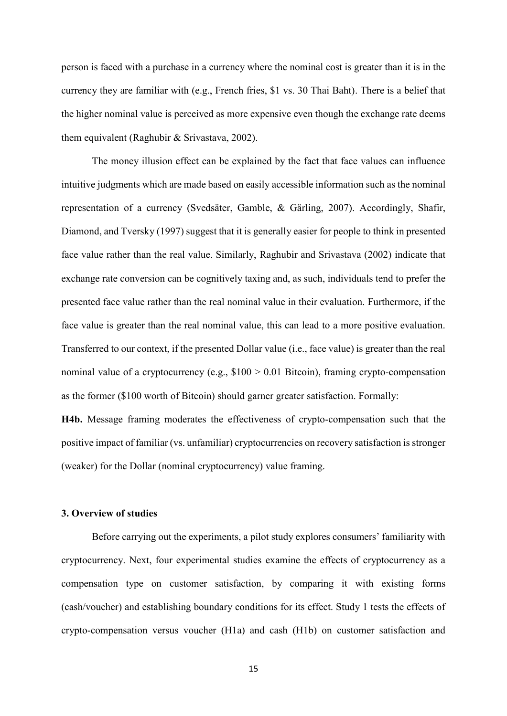person is faced with a purchase in a currency where the nominal cost is greater than it is in the currency they are familiar with (e.g., French fries, \$1 vs. 30 Thai Baht). There is a belief that the higher nominal value is perceived as more expensive even though the exchange rate deems them equivalent (Raghubir & Srivastava, 2002).

The money illusion effect can be explained by the fact that face values can influence intuitive judgments which are made based on easily accessible information such as the nominal representation of a currency (Svedsäter, Gamble, & Gärling, 2007). Accordingly, Shafir, Diamond, and Tversky (1997) suggest that it is generally easier for people to think in presented face value rather than the real value. Similarly, Raghubir and Srivastava (2002) indicate that exchange rate conversion can be cognitively taxing and, as such, individuals tend to prefer the presented face value rather than the real nominal value in their evaluation. Furthermore, if the face value is greater than the real nominal value, this can lead to a more positive evaluation. Transferred to our context, if the presented Dollar value (i.e., face value) is greater than the real nominal value of a cryptocurrency (e.g.,  $$100 > 0.01$  Bitcoin), framing crypto-compensation as the former (\$100 worth of Bitcoin) should garner greater satisfaction. Formally:

**H4b.** Message framing moderates the effectiveness of crypto-compensation such that the positive impact of familiar (vs. unfamiliar) cryptocurrencies on recovery satisfaction is stronger (weaker) for the Dollar (nominal cryptocurrency) value framing.

### **3. Overview of studies**

Before carrying out the experiments, a pilot study explores consumers' familiarity with cryptocurrency. Next, four experimental studies examine the effects of cryptocurrency as a compensation type on customer satisfaction, by comparing it with existing forms (cash/voucher) and establishing boundary conditions for its effect. Study 1 tests the effects of crypto-compensation versus voucher (H1a) and cash (H1b) on customer satisfaction and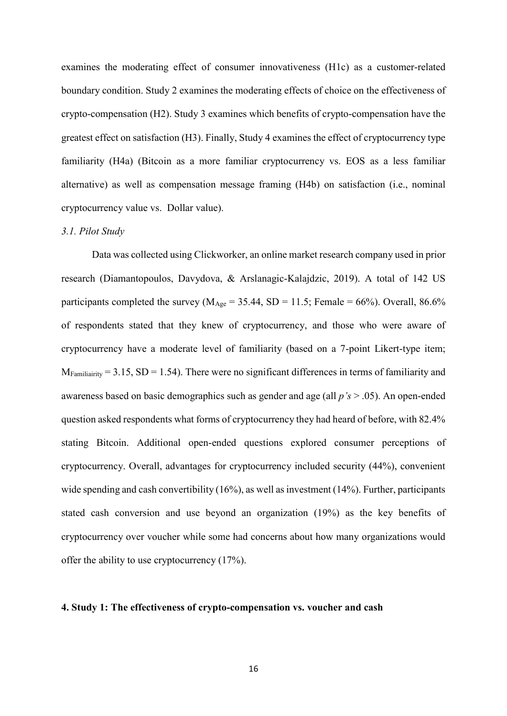examines the moderating effect of consumer innovativeness (H1c) as a customer-related boundary condition. Study 2 examines the moderating effects of choice on the effectiveness of crypto-compensation (H2). Study 3 examines which benefits of crypto-compensation have the greatest effect on satisfaction (H3). Finally, Study 4 examines the effect of cryptocurrency type familiarity (H4a) (Bitcoin as a more familiar cryptocurrency vs. EOS as a less familiar alternative) as well as compensation message framing (H4b) on satisfaction (i.e., nominal cryptocurrency value vs. Dollar value).

#### *3.1. Pilot Study*

Data was collected using Clickworker, an online market research company used in prior research (Diamantopoulos, Davydova, & Arslanagic-Kalajdzic, 2019). A total of 142 US participants completed the survey ( $M_{\text{Age}} = 35.44$ , SD = 11.5; Female = 66%). Overall, 86.6% of respondents stated that they knew of cryptocurrency, and those who were aware of cryptocurrency have a moderate level of familiarity (based on a 7-point Likert-type item;  $M_{Familiarity} = 3.15$ ,  $SD = 1.54$ ). There were no significant differences in terms of familiarity and awareness based on basic demographics such as gender and age (all *p's* > .05). An open-ended question asked respondents what forms of cryptocurrency they had heard of before, with 82.4% stating Bitcoin. Additional open-ended questions explored consumer perceptions of cryptocurrency. Overall, advantages for cryptocurrency included security (44%), convenient wide spending and cash convertibility (16%), as well as investment (14%). Further, participants stated cash conversion and use beyond an organization (19%) as the key benefits of cryptocurrency over voucher while some had concerns about how many organizations would offer the ability to use cryptocurrency (17%).

#### **4. Study 1: The effectiveness of crypto-compensation vs. voucher and cash**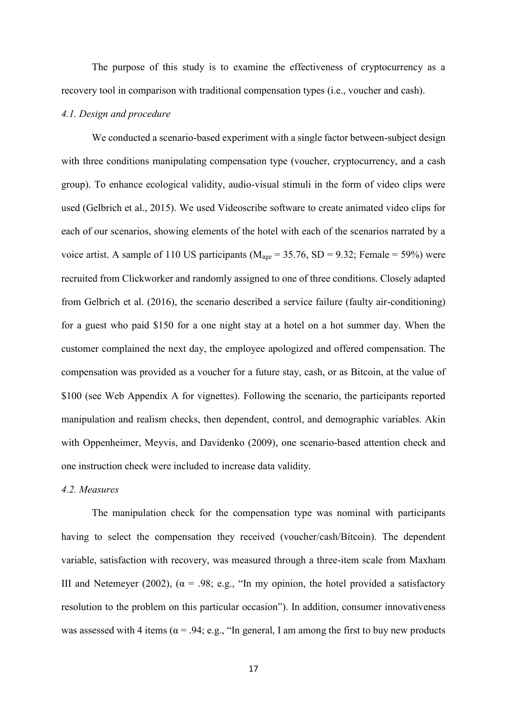The purpose of this study is to examine the effectiveness of cryptocurrency as a recovery tool in comparison with traditional compensation types (i.e., voucher and cash).

### *4.1. Design and procedure*

We conducted a scenario-based experiment with a single factor between-subject design with three conditions manipulating compensation type (voucher, cryptocurrency, and a cash group). To enhance ecological validity, audio-visual stimuli in the form of video clips were used (Gelbrich et al., 2015). We used Videoscribe software to create animated video clips for each of our scenarios, showing elements of the hotel with each of the scenarios narrated by a voice artist. A sample of 110 US participants ( $M_{\text{age}} = 35.76$ , SD = 9.32; Female = 59%) were recruited from Clickworker and randomly assigned to one of three conditions. Closely adapted from Gelbrich et al. (2016), the scenario described a service failure (faulty air-conditioning) for a guest who paid \$150 for a one night stay at a hotel on a hot summer day. When the customer complained the next day, the employee apologized and offered compensation. The compensation was provided as a voucher for a future stay, cash, or as Bitcoin, at the value of \$100 (see Web Appendix A for vignettes). Following the scenario, the participants reported manipulation and realism checks, then dependent, control, and demographic variables. Akin with Oppenheimer, Meyvis, and Davidenko (2009), one scenario-based attention check and one instruction check were included to increase data validity.

#### *4.2. Measures*

The manipulation check for the compensation type was nominal with participants having to select the compensation they received (voucher/cash/Bitcoin). The dependent variable, satisfaction with recovery, was measured through a three-item scale from Maxham III and Netemeyer (2002), ( $\alpha$  = .98; e.g., "In my opinion, the hotel provided a satisfactory resolution to the problem on this particular occasion"). In addition, consumer innovativeness was assessed with 4 items ( $\alpha$  = .94; e.g., "In general, I am among the first to buy new products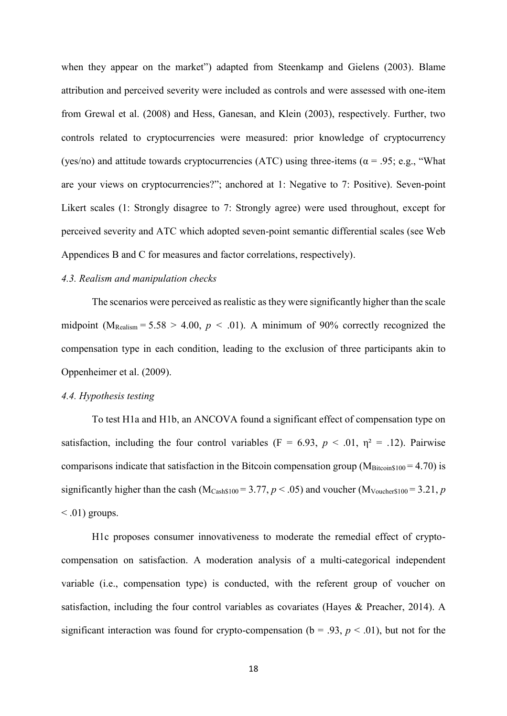when they appear on the market") adapted from Steenkamp and Gielens (2003). Blame attribution and perceived severity were included as controls and were assessed with one-item from Grewal et al. (2008) and Hess, Ganesan, and Klein (2003), respectively. Further, two controls related to cryptocurrencies were measured: prior knowledge of cryptocurrency (yes/no) and attitude towards cryptocurrencies (ATC) using three-items ( $\alpha$  = .95; e.g., "What are your views on cryptocurrencies?"; anchored at 1: Negative to 7: Positive). Seven-point Likert scales (1: Strongly disagree to 7: Strongly agree) were used throughout, except for perceived severity and ATC which adopted seven-point semantic differential scales (see Web Appendices B and C for measures and factor correlations, respectively).

# *4.3. Realism and manipulation checks*

The scenarios were perceived as realistic as they were significantly higher than the scale midpoint ( $M_{\text{Realism}} = 5.58 > 4.00$ ,  $p < .01$ ). A minimum of 90% correctly recognized the compensation type in each condition, leading to the exclusion of three participants akin to Oppenheimer et al. (2009).

# *4.4. Hypothesis testing*

To test H1a and H1b, an ANCOVA found a significant effect of compensation type on satisfaction, including the four control variables (F = 6.93,  $p < .01$ ,  $\eta^2 = .12$ ). Pairwise comparisons indicate that satisfaction in the Bitcoin compensation group ( $M<sub>Bitcoin$100</sub> = 4.70$ ) is significantly higher than the cash ( $M_{Cash$100} = 3.77$ ,  $p < .05$ ) and voucher ( $M_{Voucher$100} = 3.21$ , *p*  $\leq$  .01) groups.

H1c proposes consumer innovativeness to moderate the remedial effect of cryptocompensation on satisfaction. A moderation analysis of a multi-categorical independent variable (i.e., compensation type) is conducted, with the referent group of voucher on satisfaction, including the four control variables as covariates (Hayes & Preacher, 2014). A significant interaction was found for crypto-compensation ( $b = .93$ ,  $p < .01$ ), but not for the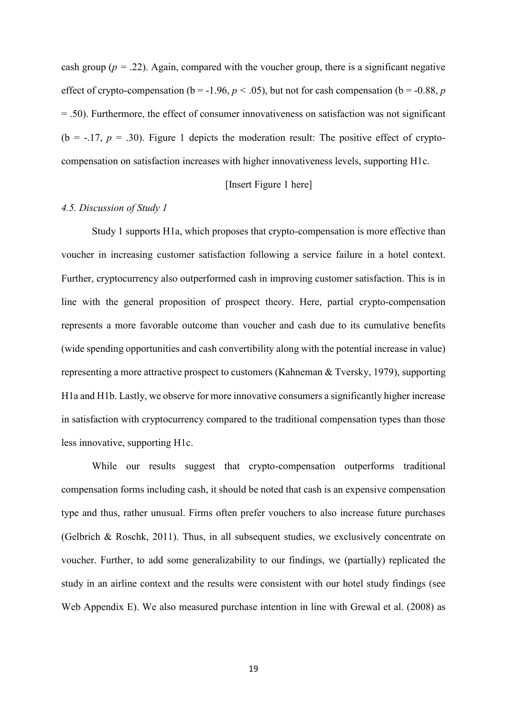cash group ( $p = 0.22$ ). Again, compared with the voucher group, there is a significant negative effect of crypto-compensation ( $b = -1.96$ ,  $p < .05$ ), but not for cash compensation ( $b = -0.88$ ,  $p$ ) = .50). Furthermore, the effect of consumer innovativeness on satisfaction was not significant ( $b = -17$ ,  $p = 0.30$ ). Figure 1 depicts the moderation result: The positive effect of cryptocompensation on satisfaction increases with higher innovativeness levels, supporting H1c.

## [Insert Figure 1 here]

#### *4.5. Discussion of Study 1*

Study 1 supports H1a, which proposes that crypto-compensation is more effective than voucher in increasing customer satisfaction following a service failure in a hotel context. Further, cryptocurrency also outperformed cash in improving customer satisfaction. This is in line with the general proposition of prospect theory. Here, partial crypto-compensation represents a more favorable outcome than voucher and cash due to its cumulative benefits (wide spending opportunities and cash convertibility along with the potential increase in value) representing a more attractive prospect to customers (Kahneman & Tversky, 1979), supporting H1a and H1b. Lastly, we observe for more innovative consumers a significantly higher increase in satisfaction with cryptocurrency compared to the traditional compensation types than those less innovative, supporting H1c.

While our results suggest that crypto-compensation outperforms traditional compensation forms including cash, it should be noted that cash is an expensive compensation type and thus, rather unusual. Firms often prefer vouchers to also increase future purchases (Gelbrich & Roschk, 2011). Thus, in all subsequent studies, we exclusively concentrate on voucher. Further, to add some generalizability to our findings, we (partially) replicated the study in an airline context and the results were consistent with our hotel study findings (see Web Appendix E). We also measured purchase intention in line with Grewal et al. (2008) as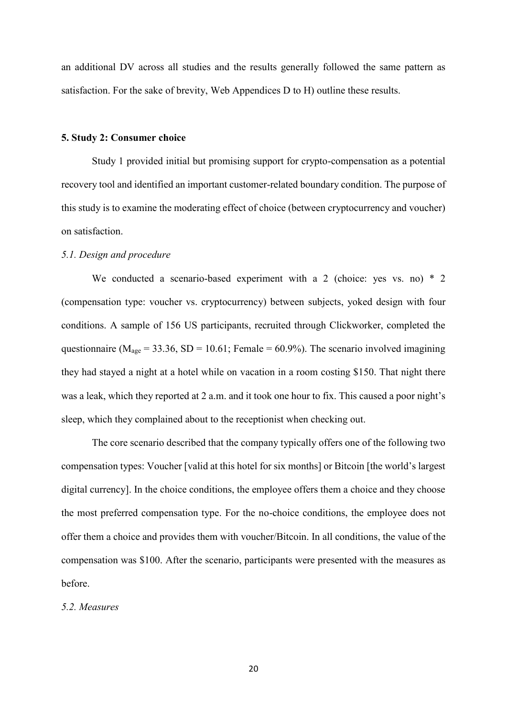an additional DV across all studies and the results generally followed the same pattern as satisfaction. For the sake of brevity, Web Appendices D to H) outline these results.

#### **5. Study 2: Consumer choice**

Study 1 provided initial but promising support for crypto-compensation as a potential recovery tool and identified an important customer-related boundary condition. The purpose of this study is to examine the moderating effect of choice (between cryptocurrency and voucher) on satisfaction.

### *5.1. Design and procedure*

We conducted a scenario-based experiment with a 2 (choice: yes vs. no)  $*$  2 (compensation type: voucher vs. cryptocurrency) between subjects, yoked design with four conditions. A sample of 156 US participants, recruited through Clickworker, completed the questionnaire ( $M<sub>age</sub> = 33.36$ , SD = 10.61; Female = 60.9%). The scenario involved imagining they had stayed a night at a hotel while on vacation in a room costing \$150. That night there was a leak, which they reported at 2 a.m. and it took one hour to fix. This caused a poor night's sleep, which they complained about to the receptionist when checking out.

The core scenario described that the company typically offers one of the following two compensation types: Voucher [valid at this hotel for six months] or Bitcoin [the world's largest digital currency]. In the choice conditions, the employee offers them a choice and they choose the most preferred compensation type. For the no-choice conditions, the employee does not offer them a choice and provides them with voucher/Bitcoin. In all conditions, the value of the compensation was \$100. After the scenario, participants were presented with the measures as before.

#### *5.2. Measures*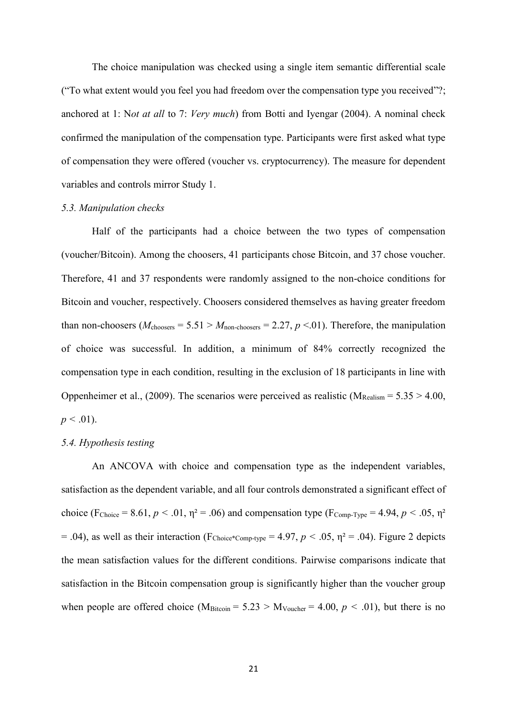The choice manipulation was checked using a single item semantic differential scale ("To what extent would you feel you had freedom over the compensation type you received"?; anchored at 1: N*ot at all* to 7: *Very much*) from Botti and Iyengar (2004). A nominal check confirmed the manipulation of the compensation type. Participants were first asked what type of compensation they were offered (voucher vs. cryptocurrency). The measure for dependent variables and controls mirror Study 1.

#### *5.3. Manipulation checks*

Half of the participants had a choice between the two types of compensation (voucher/Bitcoin). Among the choosers, 41 participants chose Bitcoin, and 37 chose voucher. Therefore, 41 and 37 respondents were randomly assigned to the non-choice conditions for Bitcoin and voucher, respectively. Choosers considered themselves as having greater freedom than non-choosers ( $M_{\text{chooses}} = 5.51 > M_{\text{non-chooses}} = 2.27, p < 0.01$ ). Therefore, the manipulation of choice was successful. In addition, a minimum of 84% correctly recognized the compensation type in each condition, resulting in the exclusion of 18 participants in line with Oppenheimer et al., (2009). The scenarios were perceived as realistic ( $M_{\text{Realism}} = 5.35 > 4.00$ ,  $p < .01$ ).

# *5.4. Hypothesis testing*

An ANCOVA with choice and compensation type as the independent variables, satisfaction as the dependent variable, and all four controls demonstrated a significant effect of choice (F<sub>Choice</sub> = 8.61,  $p < .01$ ,  $\eta^2 = .06$ ) and compensation type (F<sub>Comp-Type</sub> = 4.94,  $p < .05$ ,  $\eta^2$ )  $= .04$ ), as well as their interaction (F<sub>Choice\*Comp-type</sub>  $= 4.97$ ,  $p < .05$ ,  $\eta^2 = .04$ ). Figure 2 depicts the mean satisfaction values for the different conditions. Pairwise comparisons indicate that satisfaction in the Bitcoin compensation group is significantly higher than the voucher group when people are offered choice (M<sub>Bitcoin</sub> =  $5.23 > M_{Voucher} = 4.00, p < .01$ ), but there is no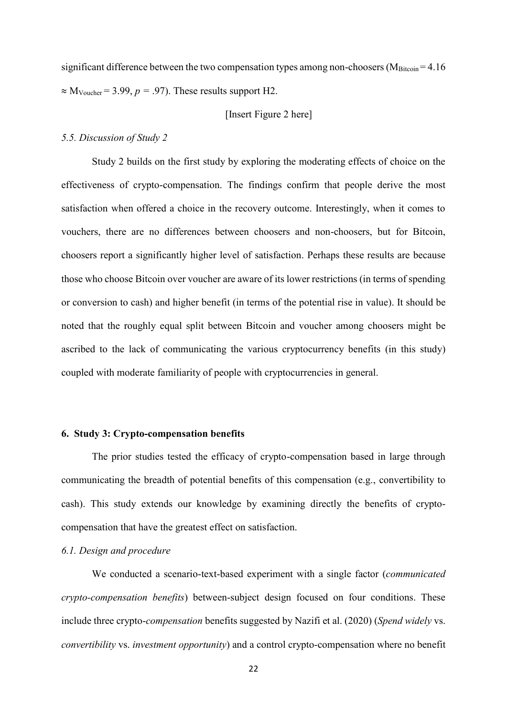significant difference between the two compensation types among non-choosers ( $M<sub>Bitcoin</sub> = 4.16$ )  $\approx$  M<sub>Voucher</sub> = 3.99, *p* = .97). These results support H2.

# [Insert Figure 2 here]

# *5.5. Discussion of Study 2*

Study 2 builds on the first study by exploring the moderating effects of choice on the effectiveness of crypto-compensation. The findings confirm that people derive the most satisfaction when offered a choice in the recovery outcome. Interestingly, when it comes to vouchers, there are no differences between choosers and non-choosers, but for Bitcoin, choosers report a significantly higher level of satisfaction. Perhaps these results are because those who choose Bitcoin over voucher are aware of its lower restrictions (in terms of spending or conversion to cash) and higher benefit (in terms of the potential rise in value). It should be noted that the roughly equal split between Bitcoin and voucher among choosers might be ascribed to the lack of communicating the various cryptocurrency benefits (in this study) coupled with moderate familiarity of people with cryptocurrencies in general.

# **6. Study 3: Crypto-compensation benefits**

The prior studies tested the efficacy of crypto-compensation based in large through communicating the breadth of potential benefits of this compensation (e.g., convertibility to cash). This study extends our knowledge by examining directly the benefits of cryptocompensation that have the greatest effect on satisfaction.

#### *6.1. Design and procedure*

We conducted a scenario-text-based experiment with a single factor (*communicated crypto-compensation benefits*) between-subject design focused on four conditions. These include three crypto-*compensation* benefits suggested by Nazifi et al. (2020) (*Spend widely* vs. *convertibility* vs. *investment opportunity*) and a control crypto-compensation where no benefit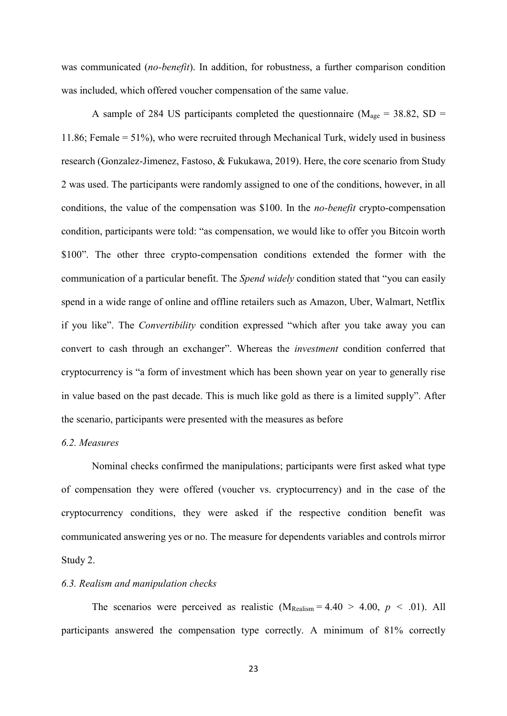was communicated (*no-benefit*). In addition, for robustness, a further comparison condition was included, which offered voucher compensation of the same value.

A sample of 284 US participants completed the questionnaire ( $M_{\text{age}} = 38.82$ , SD = 11.86; Female = 51%), who were recruited through Mechanical Turk, widely used in business research (Gonzalez-Jimenez, Fastoso, & Fukukawa, 2019). Here, the core scenario from Study 2 was used. The participants were randomly assigned to one of the conditions, however, in all conditions, the value of the compensation was \$100. In the *no-benefit* crypto-compensation condition, participants were told: "as compensation, we would like to offer you Bitcoin worth \$100". The other three crypto-compensation conditions extended the former with the communication of a particular benefit. The *Spend widely* condition stated that "you can easily spend in a wide range of online and offline retailers such as Amazon, Uber, Walmart, Netflix if you like". The *Convertibility* condition expressed "which after you take away you can convert to cash through an exchanger". Whereas the *investment* condition conferred that cryptocurrency is "a form of investment which has been shown year on year to generally rise in value based on the past decade. This is much like gold as there is a limited supply". After the scenario, participants were presented with the measures as before

# *6.2. Measures*

Nominal checks confirmed the manipulations; participants were first asked what type of compensation they were offered (voucher vs. cryptocurrency) and in the case of the cryptocurrency conditions, they were asked if the respective condition benefit was communicated answering yes or no. The measure for dependents variables and controls mirror Study 2.

## *6.3. Realism and manipulation checks*

The scenarios were perceived as realistic  $(M_{\text{Realism}} = 4.40 > 4.00, p < .01)$ . All participants answered the compensation type correctly. A minimum of 81% correctly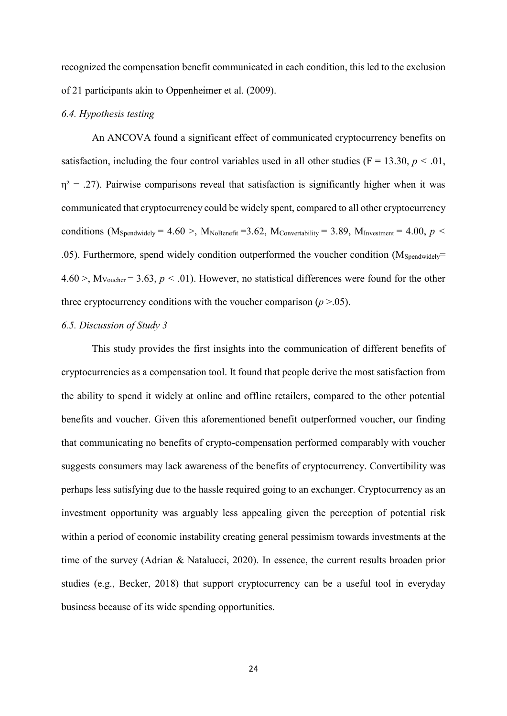recognized the compensation benefit communicated in each condition, this led to the exclusion of 21 participants akin to Oppenheimer et al. (2009).

### *6.4. Hypothesis testing*

An ANCOVA found a significant effect of communicated cryptocurrency benefits on satisfaction, including the four control variables used in all other studies ( $F = 13.30, p < .01$ ,  $\eta$ <sup>2</sup> = .27). Pairwise comparisons reveal that satisfaction is significantly higher when it was communicated that cryptocurrency could be widely spent, compared to all other cryptocurrency conditions (M<sub>Spendwidely</sub> = 4.60 >, M<sub>NoBenefit</sub> = 3.62, M<sub>Convertability</sub> = 3.89, M<sub>Investment</sub> = 4.00, *p* < .05). Furthermore, spend widely condition outperformed the voucher condition  $(M_{Spendwidelv}$ =  $4.60$  >,  $M_{\text{Voucher}}$  = 3.63,  $p < .01$ ). However, no statistical differences were found for the other three cryptocurrency conditions with the voucher comparison  $(p > .05)$ .

#### *6.5. Discussion of Study 3*

This study provides the first insights into the communication of different benefits of cryptocurrencies as a compensation tool. It found that people derive the most satisfaction from the ability to spend it widely at online and offline retailers, compared to the other potential benefits and voucher. Given this aforementioned benefit outperformed voucher, our finding that communicating no benefits of crypto-compensation performed comparably with voucher suggests consumers may lack awareness of the benefits of cryptocurrency. Convertibility was perhaps less satisfying due to the hassle required going to an exchanger. Cryptocurrency as an investment opportunity was arguably less appealing given the perception of potential risk within a period of economic instability creating general pessimism towards investments at the time of the survey (Adrian & Natalucci, 2020). In essence, the current results broaden prior studies (e.g., Becker, 2018) that support cryptocurrency can be a useful tool in everyday business because of its wide spending opportunities.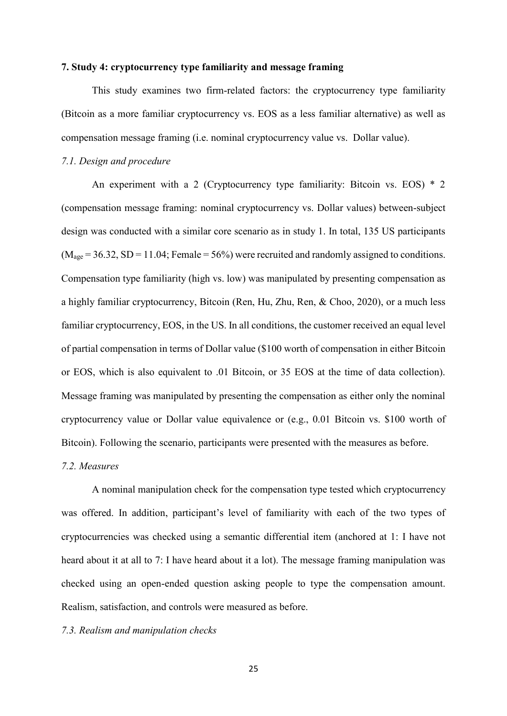# **7. Study 4: cryptocurrency type familiarity and message framing**

This study examines two firm-related factors: the cryptocurrency type familiarity (Bitcoin as a more familiar cryptocurrency vs. EOS as a less familiar alternative) as well as compensation message framing (i.e. nominal cryptocurrency value vs. Dollar value).

### *7.1. Design and procedure*

An experiment with a 2 (Cryptocurrency type familiarity: Bitcoin vs. EOS) \* 2 (compensation message framing: nominal cryptocurrency vs. Dollar values) between-subject design was conducted with a similar core scenario as in study 1. In total, 135 US participants  $(M<sub>age</sub> = 36.32, SD = 11.04; Female = 56%)$  were recruited and randomly assigned to conditions. Compensation type familiarity (high vs. low) was manipulated by presenting compensation as a highly familiar cryptocurrency, Bitcoin (Ren, Hu, Zhu, Ren, & Choo, 2020), or a much less familiar cryptocurrency, EOS, in the US. In all conditions, the customer received an equal level of partial compensation in terms of Dollar value (\$100 worth of compensation in either Bitcoin or EOS, which is also equivalent to .01 Bitcoin, or 35 EOS at the time of data collection). Message framing was manipulated by presenting the compensation as either only the nominal cryptocurrency value or Dollar value equivalence or (e.g., 0.01 Bitcoin vs. \$100 worth of Bitcoin). Following the scenario, participants were presented with the measures as before.

#### *7.2. Measures*

A nominal manipulation check for the compensation type tested which cryptocurrency was offered. In addition, participant's level of familiarity with each of the two types of cryptocurrencies was checked using a semantic differential item (anchored at 1: I have not heard about it at all to 7: I have heard about it a lot). The message framing manipulation was checked using an open-ended question asking people to type the compensation amount. Realism, satisfaction, and controls were measured as before.

# *7.3. Realism and manipulation checks*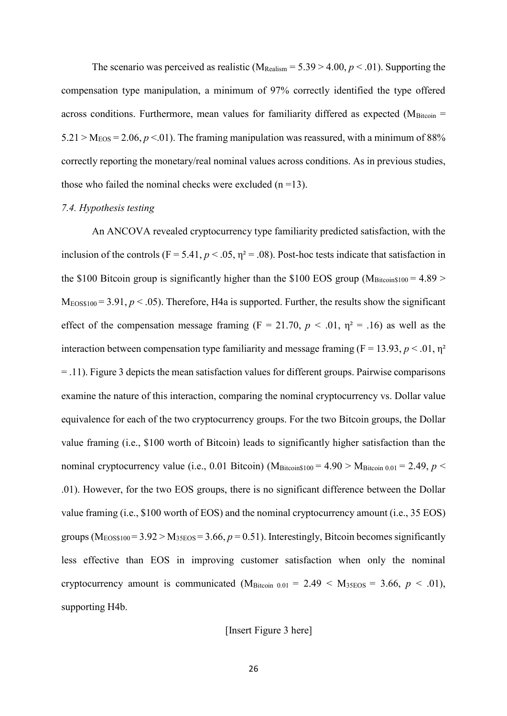The scenario was perceived as realistic ( $M_{\text{Realism}} = 5.39 > 4.00, p < .01$ ). Supporting the compensation type manipulation, a minimum of 97% correctly identified the type offered across conditions. Furthermore, mean values for familiarity differed as expected ( $M<sub>Bitcoin</sub>$ ) =  $5.21 > M_{EOS} = 2.06$ ,  $p < 01$ ). The framing manipulation was reassured, with a minimum of 88% correctly reporting the monetary/real nominal values across conditions. As in previous studies, those who failed the nominal checks were excluded  $(n=13)$ .

#### *7.4. Hypothesis testing*

An ANCOVA revealed cryptocurrency type familiarity predicted satisfaction, with the inclusion of the controls (F = 5.41,  $p < .05$ ,  $\eta^2 = .08$ ). Post-hoc tests indicate that satisfaction in the \$100 Bitcoin group is significantly higher than the \$100 EOS group ( $M<sub>Bitcoin$100</sub> = 4.89$ )  $M_{EOS$100} = 3.91, p < .05$ ). Therefore, H4a is supported. Further, the results show the significant effect of the compensation message framing ( $F = 21.70$ ,  $p < .01$ ,  $\eta^2 = .16$ ) as well as the interaction between compensation type familiarity and message framing ( $F = 13.93$ ,  $p < .01$ ,  $p<sup>2</sup>$ = .11). Figure 3 depicts the mean satisfaction values for different groups. Pairwise comparisons examine the nature of this interaction, comparing the nominal cryptocurrency vs. Dollar value equivalence for each of the two cryptocurrency groups. For the two Bitcoin groups, the Dollar value framing (i.e., \$100 worth of Bitcoin) leads to significantly higher satisfaction than the nominal cryptocurrency value (i.e., 0.01 Bitcoin) ( $M_{\text{Bitcoin$100}} = 4.90 > M_{\text{Bitcoin 0.01}} = 2.49$ , *p* < .01). However, for the two EOS groups, there is no significant difference between the Dollar value framing (i.e., \$100 worth of EOS) and the nominal cryptocurrency amount (i.e., 35 EOS) groups ( $M_{EOS$100} = 3.92 > M_{35EOS} = 3.66$ ,  $p = 0.51$ ). Interestingly, Bitcoin becomes significantly less effective than EOS in improving customer satisfaction when only the nominal cryptocurrency amount is communicated  $(M<sub>Bitcoin 0.01</sub> = 2.49 < M<sub>35EOS</sub> = 3.66, p < .01)$ , supporting H4b.

# [Insert Figure 3 here]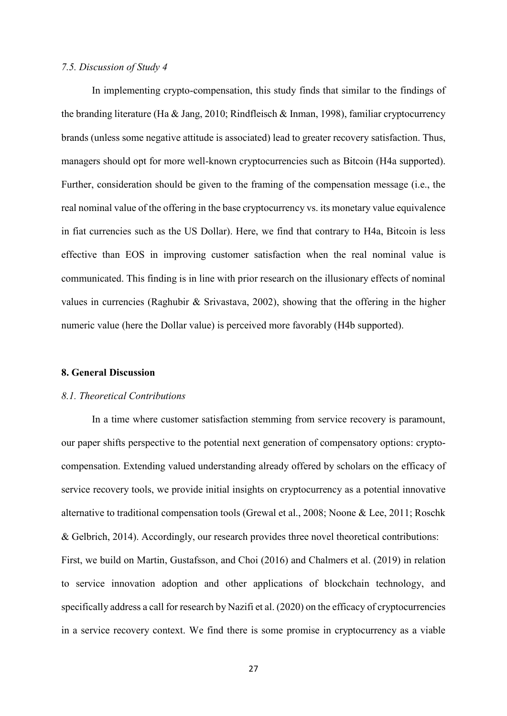#### *7.5. Discussion of Study 4*

In implementing crypto-compensation, this study finds that similar to the findings of the branding literature (Ha & Jang, 2010; Rindfleisch & Inman, 1998), familiar cryptocurrency brands (unless some negative attitude is associated) lead to greater recovery satisfaction. Thus, managers should opt for more well-known cryptocurrencies such as Bitcoin (H4a supported). Further, consideration should be given to the framing of the compensation message (i.e., the real nominal value of the offering in the base cryptocurrency vs. its monetary value equivalence in fiat currencies such as the US Dollar). Here, we find that contrary to H4a, Bitcoin is less effective than EOS in improving customer satisfaction when the real nominal value is communicated. This finding is in line with prior research on the illusionary effects of nominal values in currencies (Raghubir & Srivastava, 2002), showing that the offering in the higher numeric value (here the Dollar value) is perceived more favorably (H4b supported).

#### **8. General Discussion**

#### *8.1. Theoretical Contributions*

In a time where customer satisfaction stemming from service recovery is paramount, our paper shifts perspective to the potential next generation of compensatory options: cryptocompensation. Extending valued understanding already offered by scholars on the efficacy of service recovery tools, we provide initial insights on cryptocurrency as a potential innovative alternative to traditional compensation tools (Grewal et al., 2008; Noone & Lee, 2011; Roschk & Gelbrich, 2014). Accordingly, our research provides three novel theoretical contributions: First, we build on Martin, Gustafsson, and Choi (2016) and Chalmers et al. (2019) in relation to service innovation adoption and other applications of blockchain technology, and specifically address a call for research by Nazifi et al. (2020) on the efficacy of cryptocurrencies in a service recovery context. We find there is some promise in cryptocurrency as a viable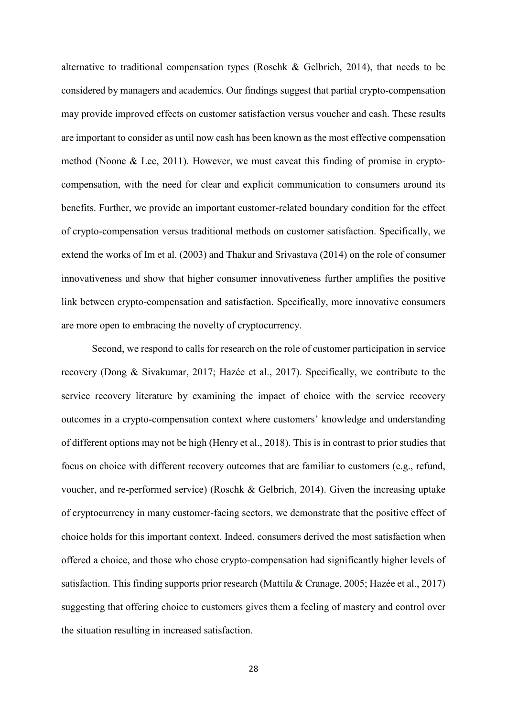alternative to traditional compensation types (Roschk & Gelbrich, 2014), that needs to be considered by managers and academics. Our findings suggest that partial crypto-compensation may provide improved effects on customer satisfaction versus voucher and cash. These results are important to consider as until now cash has been known as the most effective compensation method (Noone & Lee, 2011). However, we must caveat this finding of promise in cryptocompensation, with the need for clear and explicit communication to consumers around its benefits. Further, we provide an important customer-related boundary condition for the effect of crypto-compensation versus traditional methods on customer satisfaction. Specifically, we extend the works of Im et al. (2003) and Thakur and Srivastava (2014) on the role of consumer innovativeness and show that higher consumer innovativeness further amplifies the positive link between crypto-compensation and satisfaction. Specifically, more innovative consumers are more open to embracing the novelty of cryptocurrency.

Second, we respond to calls for research on the role of customer participation in service recovery (Dong & Sivakumar, 2017; Hazée et al., 2017). Specifically, we contribute to the service recovery literature by examining the impact of choice with the service recovery outcomes in a crypto-compensation context where customers' knowledge and understanding of different options may not be high (Henry et al., 2018). This is in contrast to prior studies that focus on choice with different recovery outcomes that are familiar to customers (e.g., refund, voucher, and re-performed service) (Roschk & Gelbrich, 2014). Given the increasing uptake of cryptocurrency in many customer-facing sectors, we demonstrate that the positive effect of choice holds for this important context. Indeed, consumers derived the most satisfaction when offered a choice, and those who chose crypto-compensation had significantly higher levels of satisfaction. This finding supports prior research (Mattila & Cranage, 2005; Hazée et al., 2017) suggesting that offering choice to customers gives them a feeling of mastery and control over the situation resulting in increased satisfaction.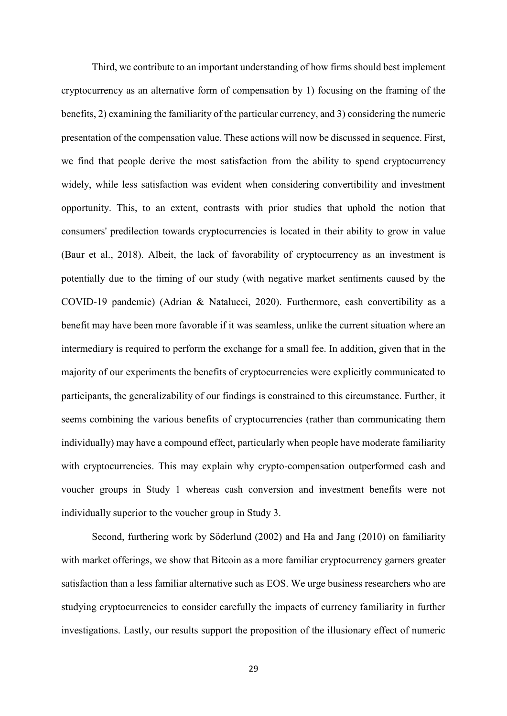Third, we contribute to an important understanding of how firms should best implement cryptocurrency as an alternative form of compensation by 1) focusing on the framing of the benefits, 2) examining the familiarity of the particular currency, and 3) considering the numeric presentation of the compensation value. These actions will now be discussed in sequence. First, we find that people derive the most satisfaction from the ability to spend cryptocurrency widely, while less satisfaction was evident when considering convertibility and investment opportunity. This, to an extent, contrasts with prior studies that uphold the notion that consumers' predilection towards cryptocurrencies is located in their ability to grow in value (Baur et al., 2018). Albeit, the lack of favorability of cryptocurrency as an investment is potentially due to the timing of our study (with negative market sentiments caused by the COVID-19 pandemic) (Adrian & Natalucci, 2020). Furthermore, cash convertibility as a benefit may have been more favorable if it was seamless, unlike the current situation where an intermediary is required to perform the exchange for a small fee. In addition, given that in the majority of our experiments the benefits of cryptocurrencies were explicitly communicated to participants, the generalizability of our findings is constrained to this circumstance. Further, it seems combining the various benefits of cryptocurrencies (rather than communicating them individually) may have a compound effect, particularly when people have moderate familiarity with cryptocurrencies. This may explain why crypto-compensation outperformed cash and voucher groups in Study 1 whereas cash conversion and investment benefits were not individually superior to the voucher group in Study 3.

Second, furthering work by Söderlund (2002) and Ha and Jang (2010) on familiarity with market offerings, we show that Bitcoin as a more familiar cryptocurrency garners greater satisfaction than a less familiar alternative such as EOS. We urge business researchers who are studying cryptocurrencies to consider carefully the impacts of currency familiarity in further investigations. Lastly, our results support the proposition of the illusionary effect of numeric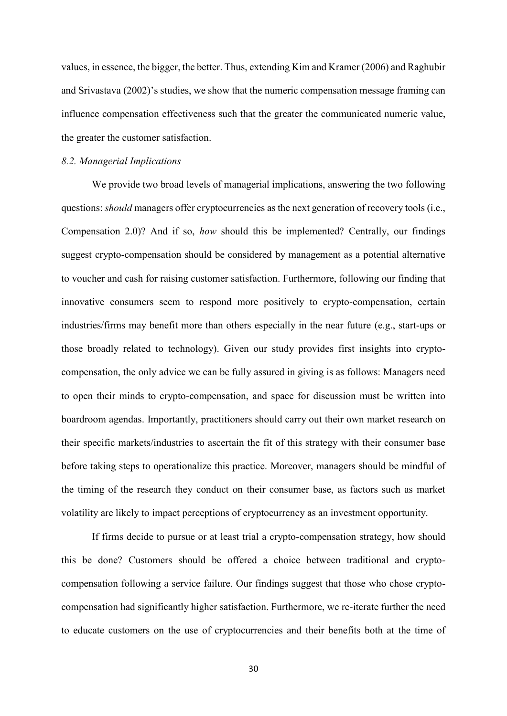values, in essence, the bigger, the better. Thus, extending Kim and Kramer (2006) and Raghubir and Srivastava (2002)'s studies, we show that the numeric compensation message framing can influence compensation effectiveness such that the greater the communicated numeric value, the greater the customer satisfaction.

#### *8.2. Managerial Implications*

We provide two broad levels of managerial implications, answering the two following questions: *should* managers offer cryptocurrencies as the next generation of recovery tools (i.e., Compensation 2.0)? And if so, *how* should this be implemented? Centrally, our findings suggest crypto-compensation should be considered by management as a potential alternative to voucher and cash for raising customer satisfaction. Furthermore, following our finding that innovative consumers seem to respond more positively to crypto-compensation, certain industries/firms may benefit more than others especially in the near future (e.g., start-ups or those broadly related to technology). Given our study provides first insights into cryptocompensation, the only advice we can be fully assured in giving is as follows: Managers need to open their minds to crypto-compensation, and space for discussion must be written into boardroom agendas. Importantly, practitioners should carry out their own market research on their specific markets/industries to ascertain the fit of this strategy with their consumer base before taking steps to operationalize this practice. Moreover, managers should be mindful of the timing of the research they conduct on their consumer base, as factors such as market volatility are likely to impact perceptions of cryptocurrency as an investment opportunity.

If firms decide to pursue or at least trial a crypto-compensation strategy, how should this be done? Customers should be offered a choice between traditional and cryptocompensation following a service failure. Our findings suggest that those who chose cryptocompensation had significantly higher satisfaction. Furthermore, we re-iterate further the need to educate customers on the use of cryptocurrencies and their benefits both at the time of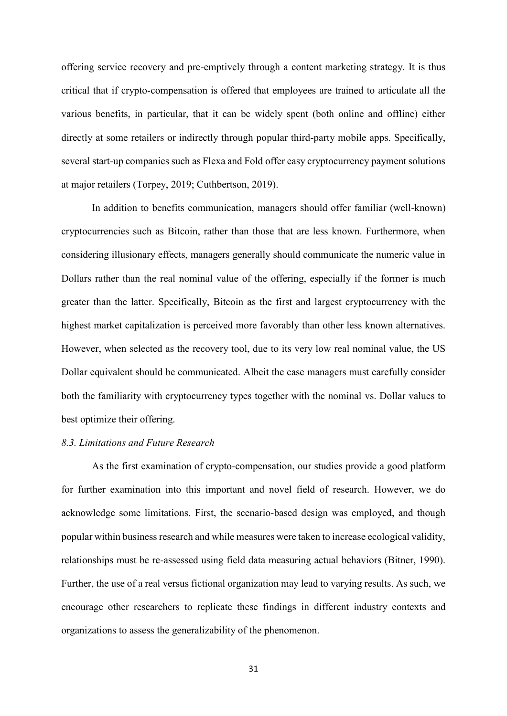offering service recovery and pre-emptively through a content marketing strategy. It is thus critical that if crypto-compensation is offered that employees are trained to articulate all the various benefits, in particular, that it can be widely spent (both online and offline) either directly at some retailers or indirectly through popular third-party mobile apps. Specifically, several start-up companies such as Flexa and Fold offer easy cryptocurrency payment solutions at major retailers (Torpey, 2019; Cuthbertson, 2019).

In addition to benefits communication, managers should offer familiar (well-known) cryptocurrencies such as Bitcoin, rather than those that are less known. Furthermore, when considering illusionary effects, managers generally should communicate the numeric value in Dollars rather than the real nominal value of the offering, especially if the former is much greater than the latter. Specifically, Bitcoin as the first and largest cryptocurrency with the highest market capitalization is perceived more favorably than other less known alternatives. However, when selected as the recovery tool, due to its very low real nominal value, the US Dollar equivalent should be communicated. Albeit the case managers must carefully consider both the familiarity with cryptocurrency types together with the nominal vs. Dollar values to best optimize their offering.

# *8.3. Limitations and Future Research*

As the first examination of crypto-compensation, our studies provide a good platform for further examination into this important and novel field of research. However, we do acknowledge some limitations. First, the scenario-based design was employed, and though popular within business research and while measures were taken to increase ecological validity, relationships must be re-assessed using field data measuring actual behaviors (Bitner, 1990). Further, the use of a real versus fictional organization may lead to varying results. As such, we encourage other researchers to replicate these findings in different industry contexts and organizations to assess the generalizability of the phenomenon.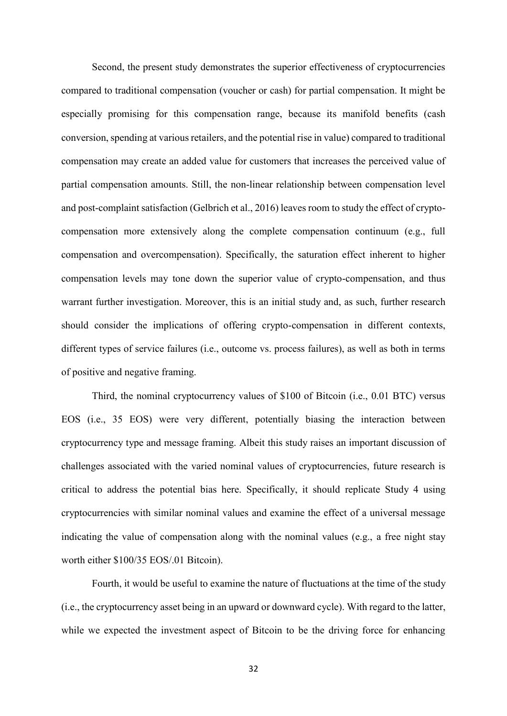Second, the present study demonstrates the superior effectiveness of cryptocurrencies compared to traditional compensation (voucher or cash) for partial compensation. It might be especially promising for this compensation range, because its manifold benefits (cash conversion, spending at various retailers, and the potential rise in value) compared to traditional compensation may create an added value for customers that increases the perceived value of partial compensation amounts. Still, the non-linear relationship between compensation level and post-complaint satisfaction (Gelbrich et al., 2016) leaves room to study the effect of cryptocompensation more extensively along the complete compensation continuum (e.g., full compensation and overcompensation). Specifically, the saturation effect inherent to higher compensation levels may tone down the superior value of crypto-compensation, and thus warrant further investigation. Moreover, this is an initial study and, as such, further research should consider the implications of offering crypto-compensation in different contexts, different types of service failures (i.e., outcome vs. process failures), as well as both in terms of positive and negative framing.

Third, the nominal cryptocurrency values of \$100 of Bitcoin (i.e., 0.01 BTC) versus EOS (i.e., 35 EOS) were very different, potentially biasing the interaction between cryptocurrency type and message framing. Albeit this study raises an important discussion of challenges associated with the varied nominal values of cryptocurrencies, future research is critical to address the potential bias here. Specifically, it should replicate Study 4 using cryptocurrencies with similar nominal values and examine the effect of a universal message indicating the value of compensation along with the nominal values (e.g., a free night stay worth either \$100/35 EOS/.01 Bitcoin).

Fourth, it would be useful to examine the nature of fluctuations at the time of the study (i.e., the cryptocurrency asset being in an upward or downward cycle). With regard to the latter, while we expected the investment aspect of Bitcoin to be the driving force for enhancing

32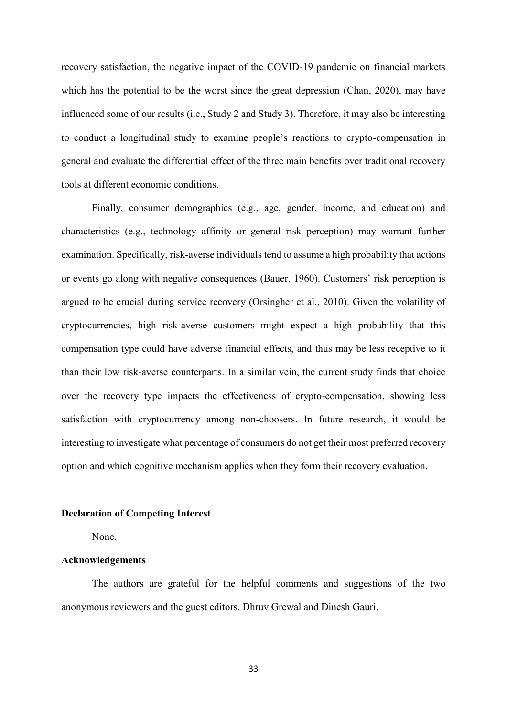recovery satisfaction, the negative impact of the COVID-19 pandemic on financial markets which has the potential to be the worst since the great depression (Chan, 2020), may have influenced some of our results (i.e., Study 2 and Study 3). Therefore, it may also be interesting to conduct a longitudinal study to examine people's reactions to crypto-compensation in general and evaluate the differential effect of the three main benefits over traditional recovery tools at different economic conditions.

Finally, consumer demographics (e.g., age, gender, income, and education) and characteristics (e.g., technology affinity or general risk perception) may warrant further examination. Specifically, risk-averse individuals tend to assume a high probability that actions or events go along with negative consequences (Bauer, 1960). Customers' risk perception is argued to be crucial during service recovery (Orsingher et al., 2010). Given the volatility of cryptocurrencies, high risk-averse customers might expect a high probability that this compensation type could have adverse financial effects, and thus may be less receptive to it than their low risk-averse counterparts. In a similar vein, the current study finds that choice over the recovery type impacts the effectiveness of crypto-compensation, showing less satisfaction with cryptocurrency among non-choosers. In future research, it would be interesting to investigate what percentage of consumers do not get their most preferred recovery option and which cognitive mechanism applies when they form their recovery evaluation.

#### **Declaration of Competing Interest**

None.

#### **Acknowledgements**

The authors are grateful for the helpful comments and suggestions of the two anonymous reviewers and the guest editors, Dhruv Grewal and Dinesh Gauri.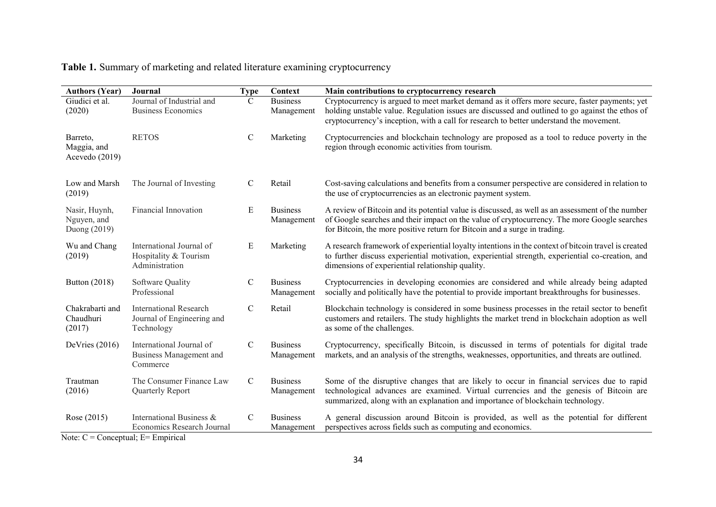# **Table 1.** Summary of marketing and related literature examining cryptocurrency

| <b>Authors (Year)</b>                        | Journal                                                                   | <b>Type</b>   | Context                       | Main contributions to cryptocurrency research                                                                                                                                                                                                                                               |
|----------------------------------------------|---------------------------------------------------------------------------|---------------|-------------------------------|---------------------------------------------------------------------------------------------------------------------------------------------------------------------------------------------------------------------------------------------------------------------------------------------|
| Giudici et al.<br>(2020)                     | Journal of Industrial and<br><b>Business Economics</b>                    | C             | <b>Business</b><br>Management | Cryptocurrency is argued to meet market demand as it offers more secure, faster payments; yet<br>holding unstable value. Regulation issues are discussed and outlined to go against the ethos of<br>cryptocurrency's inception, with a call for research to better understand the movement. |
| Barreto,<br>Maggia, and<br>Acevedo (2019)    | <b>RETOS</b>                                                              | $\mathbf C$   | Marketing                     | Cryptocurrencies and blockchain technology are proposed as a tool to reduce poverty in the<br>region through economic activities from tourism.                                                                                                                                              |
| Low and Marsh<br>(2019)                      | The Journal of Investing                                                  | $\mathcal{C}$ | Retail                        | Cost-saving calculations and benefits from a consumer perspective are considered in relation to<br>the use of cryptocurrencies as an electronic payment system.                                                                                                                             |
| Nasir, Huynh,<br>Nguyen, and<br>Duong (2019) | <b>Financial Innovation</b>                                               | E             | <b>Business</b><br>Management | A review of Bitcoin and its potential value is discussed, as well as an assessment of the number<br>of Google searches and their impact on the value of cryptocurrency. The more Google searches<br>for Bitcoin, the more positive return for Bitcoin and a surge in trading.               |
| Wu and Chang<br>(2019)                       | International Journal of<br>Hospitality & Tourism<br>Administration       | E             | Marketing                     | A research framework of experiential loyalty intentions in the context of bitcoin travel is created<br>to further discuss experiential motivation, experiential strength, experiential co-creation, and<br>dimensions of experiential relationship quality.                                 |
| Button (2018)                                | Software Quality<br>Professional                                          | $\mathsf{C}$  | <b>Business</b><br>Management | Cryptocurrencies in developing economies are considered and while already being adapted<br>socially and politically have the potential to provide important breakthroughs for businesses.                                                                                                   |
| Chakrabarti and<br>Chaudhuri<br>(2017)       | <b>International Research</b><br>Journal of Engineering and<br>Technology | $\mathbf C$   | Retail                        | Blockchain technology is considered in some business processes in the retail sector to benefit<br>customers and retailers. The study highlights the market trend in blockchain adoption as well<br>as some of the challenges.                                                               |
| DeVries $(2016)$                             | International Journal of<br>Business Management and<br>Commerce           | $\mathcal{C}$ | <b>Business</b><br>Management | Cryptocurrency, specifically Bitcoin, is discussed in terms of potentials for digital trade<br>markets, and an analysis of the strengths, weaknesses, opportunities, and threats are outlined.                                                                                              |
| Trautman<br>(2016)                           | The Consumer Finance Law<br>Quarterly Report                              | $\mathbf C$   | <b>Business</b><br>Management | Some of the disruptive changes that are likely to occur in financial services due to rapid<br>technological advances are examined. Virtual currencies and the genesis of Bitcoin are<br>summarized, along with an explanation and importance of blockchain technology.                      |
| Rose (2015)<br>$\sim$<br>$\sim$              | International Business &<br>Economics Research Journal<br>$\mathbf{r}$    | $\mathcal{C}$ | <b>Business</b><br>Management | A general discussion around Bitcoin is provided, as well as the potential for different<br>perspectives across fields such as computing and economics.                                                                                                                                      |

Note:  $C =$  Conceptual;  $E =$  Empirical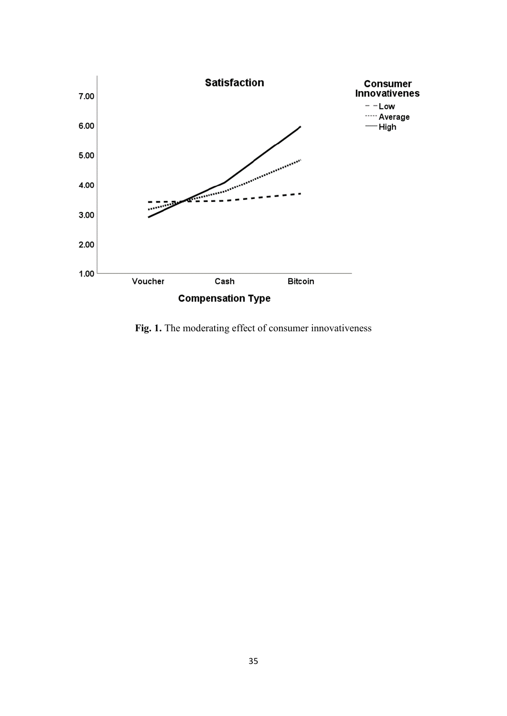

**Fig. 1.** The moderating effect of consumer innovativeness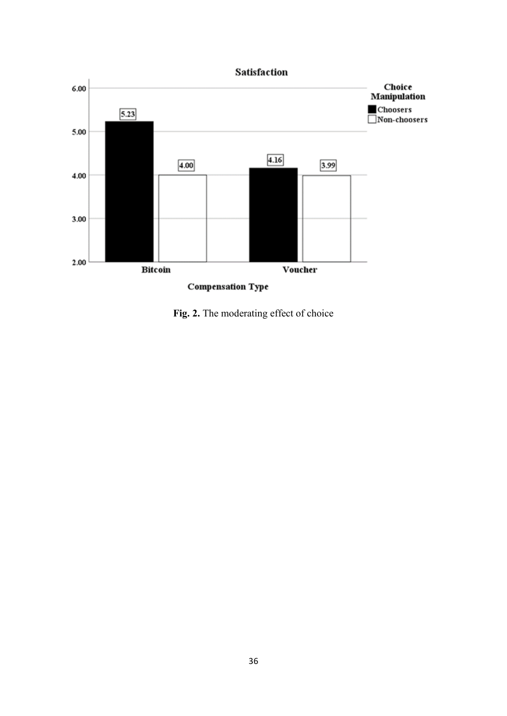

**Fig. 2.** The moderating effect of choice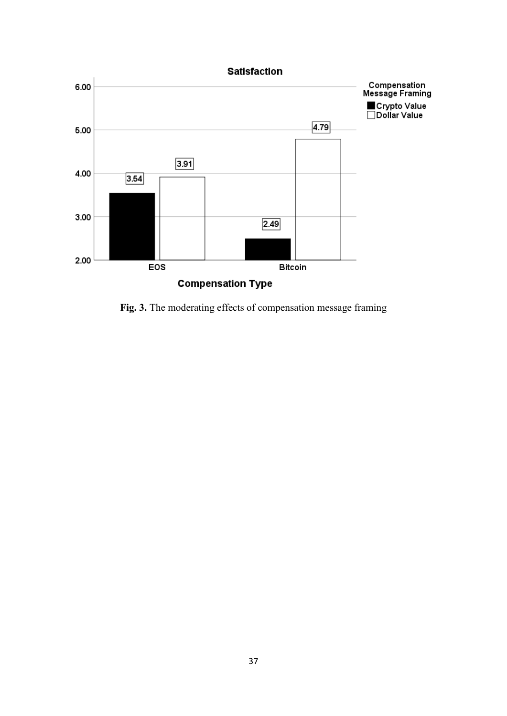

**Fig. 3.** The moderating effects of compensation message framing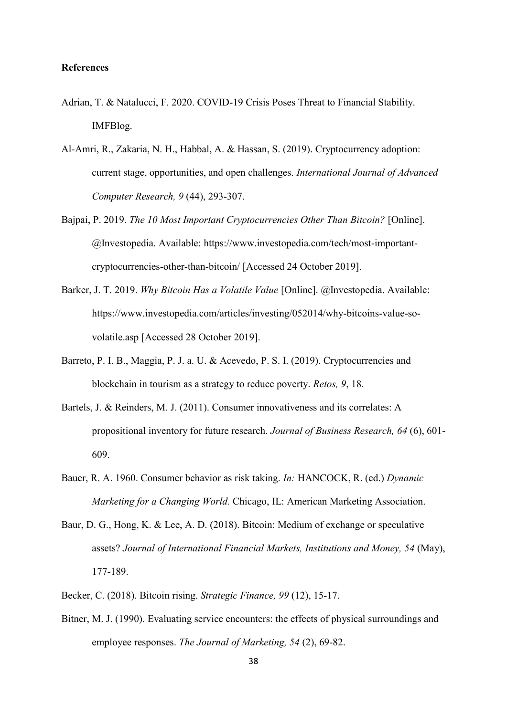## **References**

- Adrian, T. & Natalucci, F. 2020. COVID-19 Crisis Poses Threat to Financial Stability. IMFBlog.
- Al-Amri, R., Zakaria, N. H., Habbal, A. & Hassan, S. (2019). Cryptocurrency adoption: current stage, opportunities, and open challenges. *International Journal of Advanced Computer Research, 9* (44), 293-307.
- Baipai, P. 2019. *The 10 Most Important Cryptocurrencies Other Than Bitcoin?* [Online]. @Investopedia. Available: https://www.investopedia.com/tech/most-importantcryptocurrencies-other-than-bitcoin/ [Accessed 24 October 2019].
- Barker, J. T. 2019. *Why Bitcoin Has a Volatile Value* [Online]. @Investopedia. Available: https://www.investopedia.com/articles/investing/052014/why-bitcoins-value-sovolatile.asp [Accessed 28 October 2019].
- Barreto, P. I. B., Maggia, P. J. a. U. & Acevedo, P. S. I. (2019). Cryptocurrencies and blockchain in tourism as a strategy to reduce poverty. *Retos, 9*, 18.
- Bartels, J. & Reinders, M. J. (2011). Consumer innovativeness and its correlates: A propositional inventory for future research. *Journal of Business Research, 64* (6), 601- 609.
- Bauer, R. A. 1960. Consumer behavior as risk taking. *In:* HANCOCK, R. (ed.) *Dynamic Marketing for a Changing World.* Chicago, IL: American Marketing Association.
- Baur, D. G., Hong, K. & Lee, A. D. (2018). Bitcoin: Medium of exchange or speculative assets? *Journal of International Financial Markets, Institutions and Money, 54* (May), 177-189.
- Becker, C. (2018). Bitcoin rising. *Strategic Finance, 99* (12), 15-17.
- Bitner, M. J. (1990). Evaluating service encounters: the effects of physical surroundings and employee responses. *The Journal of Marketing, 54* (2), 69-82.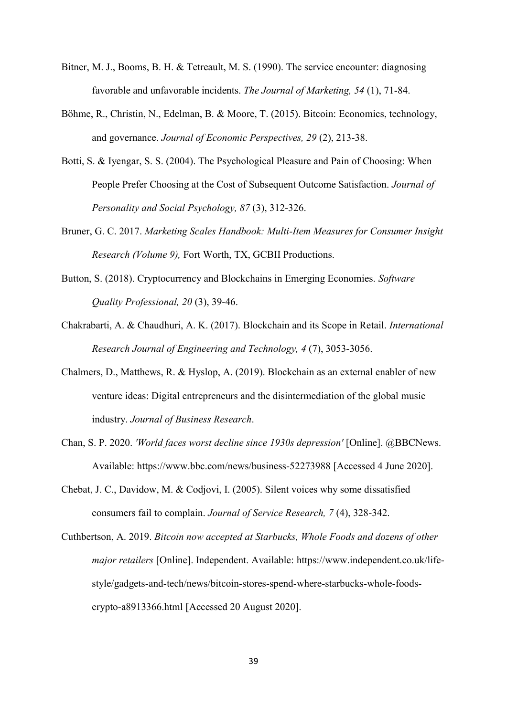- Bitner, M. J., Booms, B. H. & Tetreault, M. S. (1990). The service encounter: diagnosing favorable and unfavorable incidents. *The Journal of Marketing, 54* (1), 71-84.
- Böhme, R., Christin, N., Edelman, B. & Moore, T. (2015). Bitcoin: Economics, technology, and governance. *Journal of Economic Perspectives, 29* (2), 213-38.
- Botti, S. & Iyengar, S. S. (2004). The Psychological Pleasure and Pain of Choosing: When People Prefer Choosing at the Cost of Subsequent Outcome Satisfaction. *Journal of Personality and Social Psychology, 87* (3), 312-326.
- Bruner, G. C. 2017. *Marketing Scales Handbook: Multi-Item Measures for Consumer Insight Research (Volume 9),* Fort Worth, TX, GCBII Productions.
- Button, S. (2018). Cryptocurrency and Blockchains in Emerging Economies. *Software Quality Professional, 20* (3), 39-46.
- Chakrabarti, A. & Chaudhuri, A. K. (2017). Blockchain and its Scope in Retail. *International Research Journal of Engineering and Technology, 4* (7), 3053-3056.
- Chalmers, D., Matthews, R. & Hyslop, A. (2019). Blockchain as an external enabler of new venture ideas: Digital entrepreneurs and the disintermediation of the global music industry. *Journal of Business Research*.
- Chan, S. P. 2020. *'World faces worst decline since 1930s depression'* [Online]. @BBCNews. Available: https://www.bbc.com/news/business-52273988 [Accessed 4 June 2020].
- Chebat, J. C., Davidow, M. & Codjovi, I. (2005). Silent voices why some dissatisfied consumers fail to complain. *Journal of Service Research, 7* (4), 328-342.
- Cuthbertson, A. 2019. *Bitcoin now accepted at Starbucks, Whole Foods and dozens of other major retailers* [Online]. Independent. Available: https://www.independent.co.uk/lifestyle/gadgets-and-tech/news/bitcoin-stores-spend-where-starbucks-whole-foodscrypto-a8913366.html [Accessed 20 August 2020].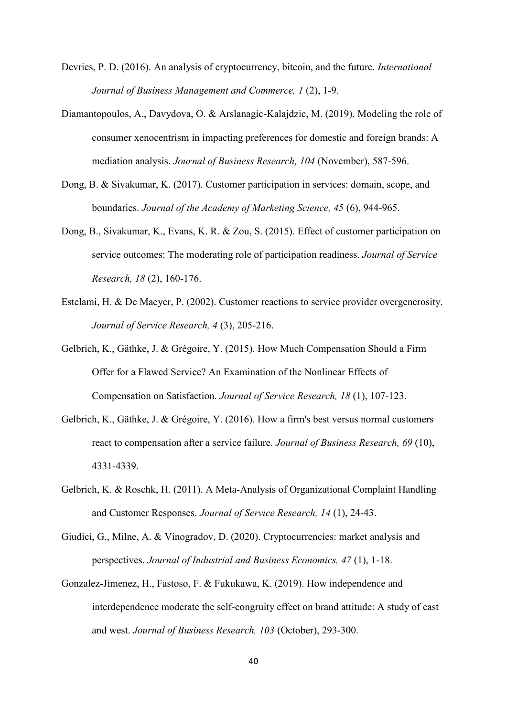Devries, P. D. (2016). An analysis of cryptocurrency, bitcoin, and the future. *International Journal of Business Management and Commerce, 1* (2), 1-9.

- Diamantopoulos, A., Davydova, O. & Arslanagic-Kalajdzic, M. (2019). Modeling the role of consumer xenocentrism in impacting preferences for domestic and foreign brands: A mediation analysis. *Journal of Business Research, 104* (November), 587-596.
- Dong, B. & Sivakumar, K. (2017). Customer participation in services: domain, scope, and boundaries. *Journal of the Academy of Marketing Science, 45* (6), 944-965.
- Dong, B., Sivakumar, K., Evans, K. R. & Zou, S. (2015). Effect of customer participation on service outcomes: The moderating role of participation readiness. *Journal of Service Research, 18* (2), 160-176.
- Estelami, H. & De Maeyer, P. (2002). Customer reactions to service provider overgenerosity. *Journal of Service Research, 4* (3), 205-216.
- Gelbrich, K., Gäthke, J. & Grégoire, Y. (2015). How Much Compensation Should a Firm Offer for a Flawed Service? An Examination of the Nonlinear Effects of Compensation on Satisfaction. *Journal of Service Research, 18* (1), 107-123.
- Gelbrich, K., Gäthke, J. & Grégoire, Y. (2016). How a firm's best versus normal customers react to compensation after a service failure. *Journal of Business Research, 69* (10), 4331-4339.
- Gelbrich, K. & Roschk, H. (2011). A Meta-Analysis of Organizational Complaint Handling and Customer Responses. *Journal of Service Research, 14* (1), 24-43.
- Giudici, G., Milne, A. & Vinogradov, D. (2020). Cryptocurrencies: market analysis and perspectives. *Journal of Industrial and Business Economics, 47* (1), 1-18.
- Gonzalez-Jimenez, H., Fastoso, F. & Fukukawa, K. (2019). How independence and interdependence moderate the self-congruity effect on brand attitude: A study of east and west. *Journal of Business Research, 103* (October), 293-300.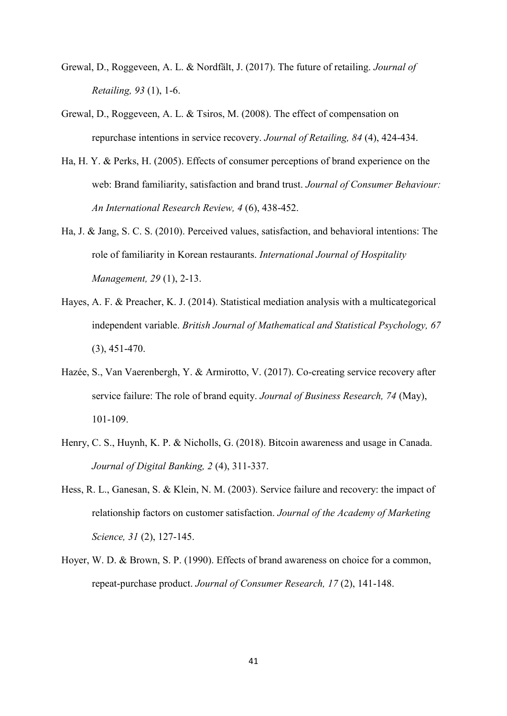- Grewal, D., Roggeveen, A. L. & Nordfält, J. (2017). The future of retailing. *Journal of Retailing, 93* (1), 1-6.
- Grewal, D., Roggeveen, A. L. & Tsiros, M. (2008). The effect of compensation on repurchase intentions in service recovery. *Journal of Retailing, 84* (4), 424-434.
- Ha, H. Y. & Perks, H. (2005). Effects of consumer perceptions of brand experience on the web: Brand familiarity, satisfaction and brand trust. *Journal of Consumer Behaviour: An International Research Review, 4* (6), 438-452.
- Ha, J. & Jang, S. C. S. (2010). Perceived values, satisfaction, and behavioral intentions: The role of familiarity in Korean restaurants. *International Journal of Hospitality Management, 29* (1), 2-13.
- Hayes, A. F. & Preacher, K. J. (2014). Statistical mediation analysis with a multicategorical independent variable. *British Journal of Mathematical and Statistical Psychology, 67* (3), 451-470.
- Hazée, S., Van Vaerenbergh, Y. & Armirotto, V. (2017). Co-creating service recovery after service failure: The role of brand equity. *Journal of Business Research, 74* (May), 101-109.
- Henry, C. S., Huynh, K. P. & Nicholls, G. (2018). Bitcoin awareness and usage in Canada. *Journal of Digital Banking, 2* (4), 311-337.
- Hess, R. L., Ganesan, S. & Klein, N. M. (2003). Service failure and recovery: the impact of relationship factors on customer satisfaction. *Journal of the Academy of Marketing Science, 31* (2), 127-145.
- Hoyer, W. D. & Brown, S. P. (1990). Effects of brand awareness on choice for a common, repeat-purchase product. *Journal of Consumer Research, 17* (2), 141-148.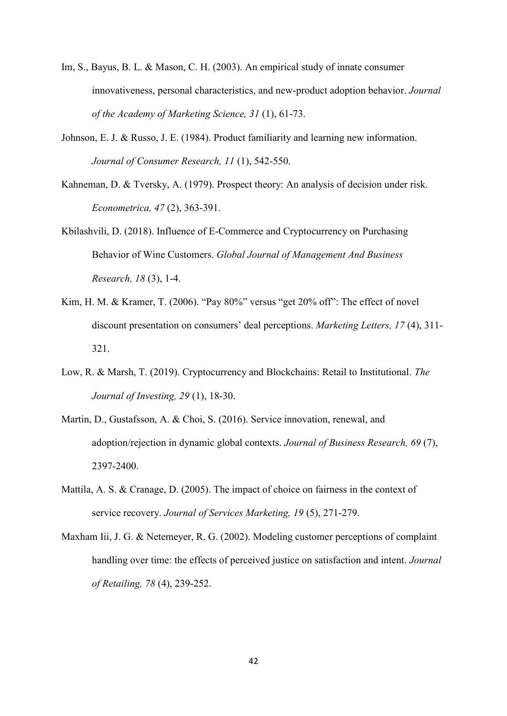- Im, S., Bayus, B. L. & Mason, C. H. (2003). An empirical study of innate consumer innovativeness, personal characteristics, and new-product adoption behavior. *Journal of the Academy of Marketing Science, 31* (1), 61-73.
- Johnson, E. J. & Russo, J. E. (1984). Product familiarity and learning new information. *Journal of Consumer Research, 11* (1), 542-550.
- Kahneman, D. & Tversky, A. (1979). Prospect theory: An analysis of decision under risk. *Econometrica, 47* (2), 363-391.
- Kbilashvili, D. (2018). Influence of E-Commerce and Cryptocurrency on Purchasing Behavior of Wine Customers. *Global Journal of Management And Business Research, 18* (3), 1-4.
- Kim, H. M. & Kramer, T. (2006). "Pay 80%" versus "get 20% off": The effect of novel discount presentation on consumers' deal perceptions. *Marketing Letters, 17* (4), 311- 321.
- Low, R. & Marsh, T. (2019). Cryptocurrency and Blockchains: Retail to Institutional. *The Journal of Investing, 29* (1), 18-30.
- Martin, D., Gustafsson, A. & Choi, S. (2016). Service innovation, renewal, and adoption/rejection in dynamic global contexts. *Journal of Business Research, 69* (7), 2397-2400.
- Mattila, A. S. & Cranage, D. (2005). The impact of choice on fairness in the context of service recovery. *Journal of Services Marketing, 19* (5), 271-279.
- Maxham Iii, J. G. & Netemeyer, R. G. (2002). Modeling customer perceptions of complaint handling over time: the effects of perceived justice on satisfaction and intent. *Journal of Retailing, 78* (4), 239-252.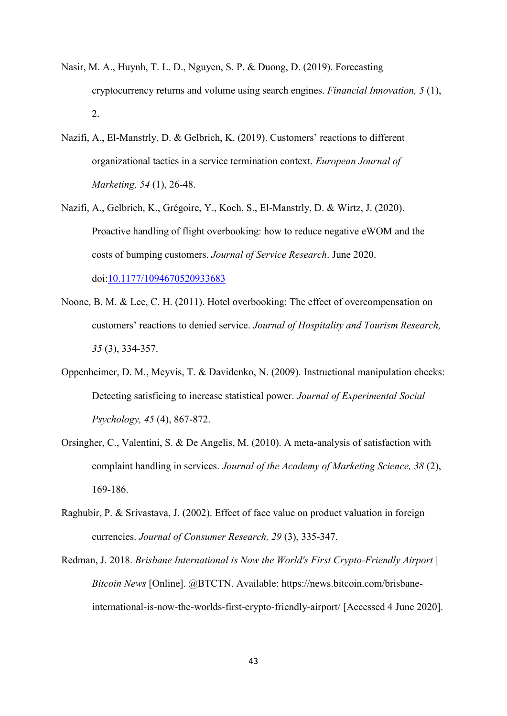- Nasir, M. A., Huynh, T. L. D., Nguyen, S. P. & Duong, D. (2019). Forecasting cryptocurrency returns and volume using search engines. *Financial Innovation, 5* (1), 2.
- Nazifi, A., El-Manstrly, D. & Gelbrich, K. (2019). Customers' reactions to different organizational tactics in a service termination context. *European Journal of Marketing, 54* (1), 26-48.
- Nazifi, A., Gelbrich, K., Grégoire, Y., Koch, S., El-Manstrly, D. & Wirtz, J. (2020). Proactive handling of flight overbooking: how to reduce negative eWOM and the costs of bumping customers. *Journal of Service Research*. June 2020. doi[:10.1177/1094670520933683](https://doi.org/10.1177/1094670520933683)
- Noone, B. M. & Lee, C. H. (2011). Hotel overbooking: The effect of overcompensation on customers' reactions to denied service. *Journal of Hospitality and Tourism Research, 35* (3), 334-357.
- Oppenheimer, D. M., Meyvis, T. & Davidenko, N. (2009). Instructional manipulation checks: Detecting satisficing to increase statistical power. *Journal of Experimental Social Psychology, 45* (4), 867-872.
- Orsingher, C., Valentini, S. & De Angelis, M. (2010). A meta-analysis of satisfaction with complaint handling in services. *Journal of the Academy of Marketing Science, 38* (2), 169-186.
- Raghubir, P. & Srivastava, J. (2002). Effect of face value on product valuation in foreign currencies. *Journal of Consumer Research, 29* (3), 335-347.
- Redman, J. 2018. *Brisbane International is Now the World's First Crypto-Friendly Airport | Bitcoin News* [Online]. @BTCTN. Available: https://news.bitcoin.com/brisbaneinternational-is-now-the-worlds-first-crypto-friendly-airport/ [Accessed 4 June 2020].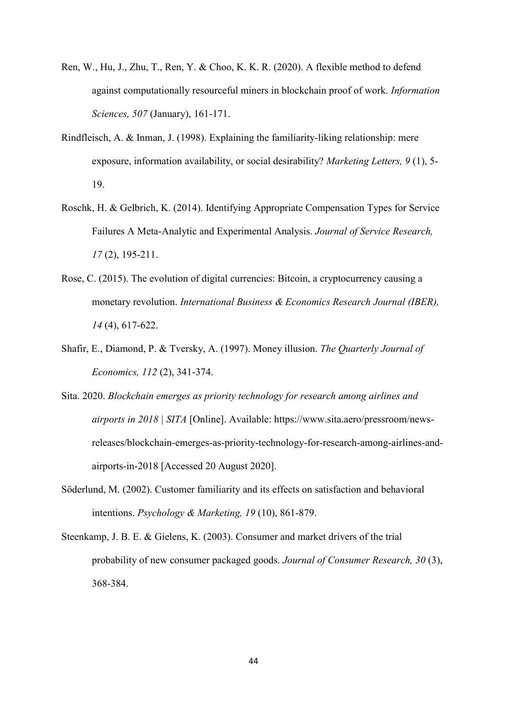- Ren, W., Hu, J., Zhu, T., Ren, Y. & Choo, K. K. R. (2020). A flexible method to defend against computationally resourceful miners in blockchain proof of work. *Information Sciences, 507* (January), 161-171.
- Rindfleisch, A. & Inman, J. (1998). Explaining the familiarity-liking relationship: mere exposure, information availability, or social desirability? *Marketing Letters, 9* (1), 5- 19.
- Roschk, H. & Gelbrich, K. (2014). Identifying Appropriate Compensation Types for Service Failures A Meta-Analytic and Experimental Analysis. *Journal of Service Research, 17* (2), 195-211.
- Rose, C. (2015). The evolution of digital currencies: Bitcoin, a cryptocurrency causing a monetary revolution. *International Business & Economics Research Journal (IBER), 14* (4), 617-622.
- Shafir, E., Diamond, P. & Tversky, A. (1997). Money illusion. *The Quarterly Journal of Economics, 112* (2), 341-374.
- Sita. 2020. *Blockchain emerges as priority technology for research among airlines and airports in 2018 | SITA* [Online]. Available: https://www.sita.aero/pressroom/newsreleases/blockchain-emerges-as-priority-technology-for-research-among-airlines-andairports-in-2018 [Accessed 20 August 2020].
- Söderlund, M. (2002). Customer familiarity and its effects on satisfaction and behavioral intentions. *Psychology & Marketing, 19* (10), 861-879.
- Steenkamp, J. B. E. & Gielens, K. (2003). Consumer and market drivers of the trial probability of new consumer packaged goods. *Journal of Consumer Research, 30* (3), 368-384.